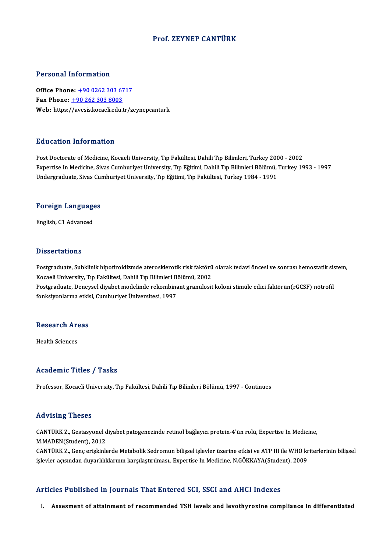#### Prof. ZEYNEP CANTÜRK

#### Personal Information

Personal Information<br>Office Phone: <u>+90 0262 303 6717</u><br>Fax Phone: 190 262 202 9002 Fax Phone: <u>+90 0262 303 67</u><br>Fax Phone: <u>+90 262 303 8003</u><br>Web: https://avosis.locali.cdv Fax Phone:  $\pm$ 90 262 303 8003<br>Web: https:/[/avesis.kocaeli.edu](tel:+90 262 303 8003)[.tr/z](tel:+90 0262 303 6717)eynepcanturk

#### Education Information

Post Doctorate of Medicine, Kocaeli University, Tıp Fakültesi, Dahili Tıp Bilimleri, Turkey 2000 - 2002 Expertise Information<br>Post Doctorate of Medicine, Kocaeli University, Tıp Fakültesi, Dahili Tıp Bilimleri, Turkey 2000 - 2002<br>Expertise In Medicine, Sivas Cumhuriyet University, Tıp Eğitimi, Dahili Tıp Bilimleri Bölümü, Tu Post Doctorate of Medicine, Kocaeli University, Tıp Fakültesi, Dahili Tıp Bilimleri, Turkey 200<br>Expertise In Medicine, Sivas Cumhuriyet University, Tıp Eğitimi, Dahili Tıp Bilimleri Bölümü, '<br>Undergraduate, Sivas Cumhuriye

## <sub>ondergraduate, sivas cui<br>Foreign Languages</sub> F<mark>oreign Languag</mark>e<br>English, C1 Advanced

English, C1 Advanced<br>Dissertations

Dissertations<br>Postgraduate, Subklinik hipotiroidizmde aterosklerotik risk faktörü olarak tedavi öncesi ve sonrası hemostatik sistem,<br>Kosaali University, Tıp Fakültesi, Dabili Tıp Bilimleri Bölümü, 2002 Bissosi tatroms<br>Postgraduate, Subklinik hipotiroidizmde aterosklerotik risk faktörü<br>Kocaeli University, Tıp Fakültesi, Dahili Tıp Bilimleri Bölümü, 2002<br>Postgraduata, Danavçel diyabet medelinde rekombinant granülesit Postgraduate, Subklinik hipotiroidizmde aterosklerotik risk faktörü olarak tedavi öncesi ve sonrası hemostatik sis<br>Kocaeli University, Tıp Fakültesi, Dahili Tıp Bilimleri Bölümü, 2002<br>Postgraduate, Deneysel diyabet modelin Kocaeli University, Tıp Fakültesi, Dahili Tıp Bilimleri Bölümü, 2002<br>Postgraduate, Deneysel diyabet modelinde rekombinant granülosit koloni stimüle edici faktörün(rGCSF) nötrofil<br>fonksiyonlarına etkisi, Cumhuriyet Üniversi

## nonksiyoniarina eusis<br>Research Areas R<mark>esearch Ar</mark><br>Health Sciences

# Academic Titles / Tasks

Professor, Kocaeli University, Tıp Fakültesi, Dahili Tıp Bilimleri Bölümü, 1997 - Continues

#### Advising Theses

Advising Theses<br>CANTÜRK Z., Gestasyonel diyabet patogenezinde retinol bağlayıcı protein-4'ün rolü, Expertise In Medicine,<br>M.MADEN(Student), 2012 MATTURK Z., Gestasyonel d<br>M.MADEN(Student), 2012<br>CANTURK Z., Gene eriskinle CANTÜRK Z., Gestasyonel diyabet patogenezinde retinol bağlayıcı protein-4'ün rolü, Expertise In Medicine,<br>M.MADEN(Student), 2012<br>CANTÜRK Z., Genç erişkinlerde Metabolik Sedromun bilişsel işlevler üzerine etkisi ve ATP III

M.MADEN(Student), 2012<br>CANTÜRK Z., Genç erişkinlerde Metabolik Sedromun bilişsel işlevler üzerine etkisi ve ATP III ile WHO kr<br>işlevler açısından duyarlılıklarının karşılaştırılması., Expertise In Medicine, N.GÖKKAYA(Stude

# işlevler açısından duyarlılıklarının karşılaştırılması., Expertise In Medicine, N.GÖKKAYA(Student), 2009<br>Articles Published in Journals That Entered SCI, SSCI and AHCI Indexes

I. Assesment of attainment of recommended TSH levels and levothyroxine compliance in differentiated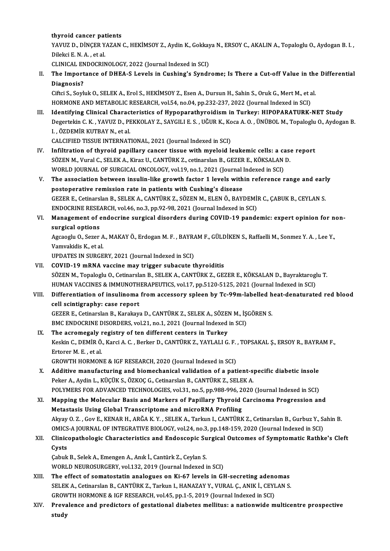#### thyroid cancer patients

thyroid cancer patients<br>YAVUZ D., DİNÇER YAZAN C., HEKİMSOY Z., Aydin K., Gokkaya N., ERSOY C., AKALIN A., Topaloglu O., Aydogan B. I.<br>Dilaksi E. N. A., et al thyroid cancer pat<br>YAVUZ D., DİNÇER Y.<br>Dilekci E. N. A. , et al.<br>CLINICAL ENDOCPIN YAVUZ D., DINÇER YAZAN C., HEKİMSOY Z., Aydin K., Gokkay<br>Dilekci E. N. A. , et al.<br>CLINICAL ENDOCRINOLOGY, 2022 (Journal Indexed in SCI)<br>The Impertance of DHEA S. Levels in Gushing's Syndr

Dilekci E. N. A. , et al.<br>CLINICAL ENDOCRINOLOGY, 2022 (Journal Indexed in SCI)<br>II. The Importance of DHEA-S Levels in Cushing's Syndrome; Is There a Cut-off Value in the Differential Diagnosis? The Importance of DHEA-S Levels in Cushing's Syndrome; Is There a Cut-off Value in the<br>Diagnosis?<br>Ciftci S., Soyluk O., SELEK A., Erol S., HEKİMSOY Z., Esen A., Dursun H., Sahin S., Oruk G., Mert M., et al.<br>HOPMONE AND MET

Di<mark>agnosis?</mark><br>Ciftci S., Soyluk O., SELEK A., Erol S., HEKİMSOY Z., Esen A., Dursun H., Sahin S., Oruk G., Mert M., et a<br>HORMONE AND METABOLIC RESEARCH, vol.54, no.04, pp.232-237, 2022 (Journal Indexed in SCI)<br>Identifying C

HORMONE AND METABOLIC RESEARCH, vol.54, no.04, pp.232-237, 2022 (Journal Indexed in SCI)<br>III. Identifying Clinical Characteristics of Hypoparathyroidism in Turkey: HIPOPARATURK-NET Study HORMONE AND METABOLIC RESEARCH, vol.54, no.04, pp.232-237, 2022 (Journal Indexed in SCI)<br>I<mark>dentifying Clinical Characteristics of Hypoparathyroidism in Turkey: HIPOPARATURK-NET Study</mark><br>Degertekin C. K. , YAVUZ D., PEKKOLAY Identifying Clinical Charact<br>Degertekin C. K. , YAVUZ D., PI<br>I. , ÖZDEMİR KUTBAY N., et al.<br>CALCIEIED TISSUE INTERNAT Degertekin C. K. , YAVUZ D., PEKKOLAY Z., SAYGILI E. S. , UĞUR K., Ko<br>I. , ÖZDEMİR KUTBAY N., et al.<br>CALCIFIED TISSUE INTERNATIONAL, 2021 (Journal Indexed in SCI)<br>Infiltration of thuraid nanillary sansar tissue with muslai I., ÖZDEMİR KUTBAY N., et al.<br>CALCIFIED TISSUE INTERNATIONAL, 2021 (Journal Indexed in SCI)<br>IV. Infiltration of thyroid papillary cancer tissue with myeloid leukemic cells: a case report

- CALCIFIED TISSUE INTERNATIONAL, 2021 (Journal Indexed in SCI)<br>Infiltration of thyroid papillary cancer tissue with myeloid leukemic cells: a case<br>SÖZEN M., Vural C., SELEK A., Kiraz U., CANTÜRK Z., cetinarslan B., GEZER E. Infiltration of thyroid papillary cancer tissue with myeloid leukemic cells: a ca<br>SÖZEN M., Vural C., SELEK A., Kiraz U., CANTÜRK Z., cetinarslan B., GEZER E., KÖKSALAN<br>WORLD JOURNAL OF SURGICAL ONCOLOGY, vol.19, no.1, 202 SÖZEN M., Vural C., SELEK A., Kiraz U., CANTÜRK Z., cetinarslan B., GEZER E., KÖKSALAN D.<br>WORLD JOURNAL OF SURGICAL ONCOLOGY, vol.19, no.1, 2021 (Journal Indexed in SCI)<br>V. The association between insulin-like growth facto
- WORLD JOURNAL OF SURGICAL ONCOLOGY, vol.19, no.1, 2021 (Journal Indexed in SCI)<br>The association between insulin-like growth factor 1 levels within reference range and earl<br>postoperative remission rate in patients with Cush The association between insulin-like growth factor 1 levels within reference range and earl<br>postoperative remission rate in patients with Cushing's disease<br>GEZER E., Cetinarslan B., SELEK A., CANTÜRK Z., SÖZEN M., ELEN Ö., postoperative remission rate in patients with Cushing's disease<br>GEZER E., Cetinarslan B., SELEK A., CANTÜRK Z., SÖZEN M., ELEN Ö., BAYDEMİ!<br>ENDOCRINE RESEARCH, vol.46, no.3, pp.92-98, 2021 (Journal Indexed in SCI)<br>Manazame GEZER E., Cetinarslan B., SELEK A., CANTÜRK Z., SÖZEN M., ELEN Ö., BAYDEMİR C., ÇABUK B., CEYLAN S.<br>ENDOCRINE RESEARCH, vol.46, no.3, pp.92-98, 2021 (Journal Indexed in SCI)<br>VI. Management of endocrine surgical disorders d
- ENDOCRINE RESE Management of endocrine surgical disorders during COVID-19 pandemic: expert opinion for n<br>surgical options<br>Agcaoglu O., Sezer A., MAKAY Ö., Erdogan M. F. , BAYRAM F., GÜLDİKEN S., Raffaelli M., Sonmez Y. A. , Lee Y.,<br>Vamya

surgical options<br>Agcaoglu O., Sezer A., MAKAY Ö., Erdogan M. F. , BAYRAM F., GÜLDİKEN S., Raffaelli M., Sonmez Y. A. , Lee Y.,<br>Vamvakidis K., et al.

UPDATES IN SURGERY, 2021 (Journal Indexed in SCI)

VII. COVID-19 mRNA vaccine may trigger subacute thyroiditis UPDATES IN SURGERY, 2021 (Journal Indexed in SCI)<br>COVID-19 mRNA vaccine may trigger subacute thyroiditis<br>SÖZEN M., Topaloglu O., Cetinarslan B., SELEK A., CANTÜRK Z., GEZER E., KÖKSALAN D., Bayraktaroglu T.<br>HUMAN VACCINES COVID-19 mRNA vaccine may trigger subacute thyroiditis<br>SÖZEN M., Topaloglu O., Cetinarslan B., SELEK A., CANTÜRK Z., GEZER E., KÖKSALAN D., Bayraktarogl<br>HUMAN VACCINES & IMMUNOTHERAPEUTICS, vol.17, pp.5120-5125, 2021 (Jour SÖZEN M., Topaloglu O., Cetinarslan B., SELEK A., CANTÜRK Z., GEZER E., KÖKSALAN D., Bayraktaroglu T.<br>HUMAN VACCINES & IMMUNOTHERAPEUTICS, vol.17, pp.5120-5125, 2021 (Journal Indexed in SCI)<br>VIII. Differentiation of in

HUMAN VACCINES & IMMUNOTHERAPEUTICS, vol.17, pp.5120-5125, 2021 (Journal Indexed in SCI)<br>Differentiation of insulinoma from accessory spleen by Tc-99m-labelled heat-denaturate<br>cell scintigraphy: case report Differentiation of insulinoma from accessory spleen by Tc-99m-labelled h<br>cell scintigraphy: case report<br>GEZER E., Cetinarslan B., Karakaya D., CANTÜRK Z., SELEK A., SÖZEN M., İŞGÖREN S.<br>PMC ENDOCRINE DISORDERS. vel 21, no. GEZER E., Cetinarslan B., Karakaya D., CANTÜRK Z., SELEK A., SÖZEN M., İŞGÖREN S.<br>BMC ENDOCRINE DISORDERS, vol.21, no.1, 2021 (Journal Indexed in SCI)

IX. The acromegaly registry of ten different centers in Turkey BMC ENDOCRINE DISORDERS, vol.21, no.1, 2021 (Journal Indexed in SCI)<br>The acromegaly registry of ten different centers in Turkey<br>Keskin C., DEMİR Ö., Karci A. C. , Berker D., CANTÜRK Z., YAYLALI G. F. , TOPSAKAL Ş., ERSOY R The acromegaly <mark>1</mark><br>Keskin C., DEMİR Ö.<br>Ertorer M. E. , et al.<br>CPOWTH HOPMON Keskin C., DEMİR Ö., Karci A. C. , Berker D., CANTÜRK Z., YAYLALI G. F.<br>Ertorer M. E. , et al.<br>GROWTH HORMONE & IGF RESEARCH, 2020 (Journal Indexed in SCI)<br>Additive manufasturing and biomaghanisal validation of a nati

- Ertorer M. E. , et al.<br>GROWTH HORMONE & IGF RESEARCH, 2020 (Journal Indexed in SCI)<br>X. Additive manufacturing and biomechanical validation of a patient-specific diabetic insole<br>Reliev A. Audin L. VÜCÜV S. ÖZVOC G. Cetiners GROWTH HORMONE & IGF RESEARCH, 2020 (Journal Indexed in SCI)<br>Additive manufacturing and biomechanical validation of a patient-s<br>Peker A., Aydin L., KÜÇÜK S., ÖZKOÇ G., Cetinarslan B., CANTÜRK Z., SELEK A.<br>POLYMERS EOP ADVA Additive manufacturing and biomechanical validation of a patient-specific diabetic insole<br>Peker A., Aydin L., KÜÇÜK S., ÖZKOÇ G., Cetinarslan B., CANTÜRK Z., SELEK A.<br>POLYMERS FOR ADVANCED TECHNOLOGIES, vol.31, no.5, pp.98 Peker A., Aydin L., KÜÇÜK S., ÖZKOÇ G., Cetinarslan B., CANTÜRK Z., SELEK A.<br>POLYMERS FOR ADVANCED TECHNOLOGIES, vol.31, no.5, pp.988-996, 2020 (Journal Indexed in SCI)<br>XI. Mapping the Molecular Basis and Markers of Papill
- POLYMERS FOR ADVANCED TECHNOLOGIES, vol.31, no.5, pp.988-996, 2<br>Mapping the Molecular Basis and Markers of Papillary Thyroid<br>Metastasis Using Global Transcriptome and microRNA Profiling<br>Alway O. 7. Cov E. KENAB H. ABČA K. Mapping the Molecular Basis and Markers of Papillary Thyroid Carcinoma Progression and<br>Metastasis Using Global Transcriptome and microRNA Profiling<br>Akyay O. Z. , Gov E., KENAR H., ARĞA K.Y. , SELEK A., Tarkun I., CANTÜRK Z Metastasis Using Global Transcriptome and microRNA Profiling<br>Akyay O. Z. , Gov E., KENAR H., ARĞA K. Y. , SELEK A., Tarkun I., CANTÜRK Z., Cetinarslan B., Gurbuz Y., S.<br>OMICS-A JOURNAL OF INTEGRATIVE BIOLOGY, vol.24, no.3, Akyay O. Z. , Gov E., KENAR H., ARĞA K. Y. , SELEK A., Tarkun I., CANTÜRK Z., Cetinarslan B., Gurbuz Y., Sahin B.<br>OMICS-A JOURNAL OF INTEGRATIVE BIOLOGY, vol.24, no.3, pp.148-159, 2020 (Journal Indexed in SCI)<br>XII. Clinico
- OMICS-A JOURNAL OF INTEGRATIVE BIOLOGY, vol.24, no.3, pp.148-159, 2020 (Journal Indexed in SCI)<br>Clinicopathologic Characteristics and Endoscopic Surgical Outcomes of Symptomatic Rathk<br>Cysts<br>Cabuk B., Selek A., Emengen A., Clinicopathologic Characteristics and Endoscopic Su<br>Cysts<br>Çabuk B., Selek A., Emengen A., Anık İ., Cantürk Z., Ceylan S.<br>WORLD NEUROSURGERY .val 122, 2019 (Journal Indoved i

WORLD NEUROSURGERY, vol.132, 2019 (Journal Indexed in SCI)

- XIII. The effect of somatostatin analogues on Ki-67 levels in GH-secreting adenomas WORLD NEUROSURGERY, vol.132, 2019 (Journal Indexed in SCI)<br>The effect of somatostatin analogues on Ki-67 levels in GH-secreting adenomas<br>SELEK A., Cetinarslan B., CANTÜRK Z., Tarkun I., HANAZAY Y., VURAL Ç., ANIK İ., CEYLA The effect of somatostatin analogues on Ki-67 levels in GH-secreting adence SELEK A., Cetinarslan B., CANTÜRK Z., Tarkun I., HANAZAY Y., VURAL Ç., ANIK İ., CEYL<br>GROWTH HORMONE & IGF RESEARCH, vol.45, pp.1-5, 2019 (Journal SELEK A., Cetinarslan B., CANTÜRK Z., Tarkun I., HANAZAY Y., VURAL Ç., ANIK İ., CEYLAN S.<br>GROWTH HORMONE & IGF RESEARCH, vol.45, pp.1-5, 2019 (Journal Indexed in SCI)<br>XIV. Prevalence and predictors of gestational diabe
- GROW<br>Preva<br>study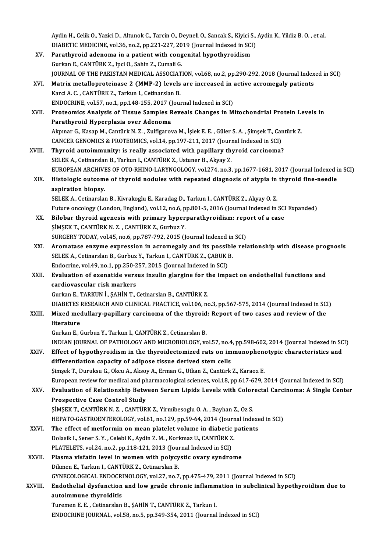Aydin H., Celik O., Yazici D., Altunok C., Tarcin O., Deyneli O., Sancak S., Kiyici S., Aydin K., Yildiz B. O.<br>DIABETIC MEDICINE, val 36, no 3, np 321, 327, 3010 (Jeurnal Indexed in SCD) Aydin H., Celik O., Yazici D., Altunok C., Tarcin O., Deyneli O., Sancak S., Kiyici S.,<br>DIABETIC MEDICINE, vol.36, no.2, pp.221-227, 2019 (Journal Indexed in SCI)<br>Persthuneid adeneme in a potient with congenital hypothyroi Aydin H., Celik O., Yazici D., Altunok C., Tarcin O., Deyneli O., Sancak S., Kiyici S<br>DIABETIC MEDICINE, vol.36, no.2, pp.221-227, 2019 (Journal Indexed in SCI<br>XV. Parathyroid adenoma in a patient with congenital hypothyro

- DIABETIC MEDICINE, vol.36, no.2, pp.221-227, 2019 (Journal Indexed in SCI)<br>XV. Parathyroid adenoma in a patient with congenital hypothyroidism<br>Gurkan E., CANTÜRK Z., Ipci O., Sahin Z., Cumali G. JOURNAL OF THE PAKISTAN MEDICAL ASSOCIATION, vol.68, no.2, pp.290-292, 2018 (Journal Indexed in SCI) Gurkan E., CANTÜRK Z., Ipci O., Sahin Z., Cumali G.<br>JOURNAL OF THE PAKISTAN MEDICAL ASSOCIATION, vol.68, no.2, pp.290-292, 2018 (Journal Index<br>XVI. Matrix metalloproteinase 2 (MMP-2) levels are increased in active acromega
- Karci A. C., CANTÜRK Z., Tarkun I., Cetinarslan B.<br>ENDOCRINE, vol.57, no.1, pp.148-155, 2017 (Journal Indexed in SCI) Matrix metalloproteinase 2 (MMP-2) levels are increased in a<br>Karci A. C. , CANTÜRK Z., Tarkun I., Cetinarslan B.<br>ENDOCRINE, vol.57, no.1, pp.148-155, 2017 (Journal Indexed in SCI)<br>Proteomiss Analysis of Tissue Samples Peye Karci A. C. , CANTÜRK Z., Tarkun I., Cetinarslan B.<br>ENDOCRINE, vol.57, no.1, pp.148-155, 2017 (Journal Indexed in SCI)<br>XVII. Proteomics Analysis of Tissue Samples Reveals Changes in Mitochondrial Protein Levels in ENDOCRINE, vol.57, no.1, pp.148-155, 2017 ()<br>Proteomics Analysis of Tissue Samples R<br>Parathyroid Hyperplasia over Adenoma<br>Almnar G. Kasan M. Cantürk N. 7 - Zulfizares

Proteomics Analysis of Tissue Samples Reveals Changes in Mitochondrial Protein Le<br>Parathyroid Hyperplasia over Adenoma<br>Akpınar G., Kasap M., Cantürk N. Z. , Zulfigarova M., İşlek E. E. , Güler S. A. , Şimşek T., Cantürk Z. Parathyroid Hyperplasia over Adenoma<br>Akpınar G., Kasap M., Cantürk N. Z. , Zulfigarova M., İşlek E. E. , Güler S. A. , Şimşek T., Cantürk Z.<br>CANCER GENOMICS & PROTEOMICS, vol.14, pp.197-211, 2017 (Journal Indexed in SCI)

- XVIII. Thyroid autoimmunity: is really associated with papillary thyroid carcinoma? SELEK A., Cetinarslan B., Tarkun I., CANTÜRK Z., Ustuner B., Akyay Z. Thyroid autoimmunity: is really associated with papillary thyroid carcinoma?<br>SELEK A., Cetinarslan B., Tarkun I., CANTÜRK Z., Ustuner B., Akyay Z.<br>EUROPEAN ARCHIVES OF OTO-RHINO-LARYNGOLOGY, vol.274, no.3, pp.1677-1681, 20 SELEK A., Cetinarslan B., Tarkun I., CANTÜRK Z., Ustuner B., Akyay Z.<br>EUROPEAN ARCHIVES OF OTO-RHINO-LARYNGOLOGY, vol.274, no.3, pp.1677-1681, 2017 (Journal Indexed i<br>XIX. Histologic outcome of thyroid nodules with rep
- EUROPEAN ARCHIVI<br>Histologic outcom<br>aspiration biopsy.<br>SELEMA Cetinorelo Histologic outcome of thyroid nodules with repeated diagnosis of atypia in thyroid fine-needle<br>aspiration biopsy.<br>SELEK A., Cetinarslan B., Kivrakoglu E., Karadag D., Tarkun I., CANTÜRK Z., Akyay O. Z. aspiration biopsy.<br>SELEK A., Cetinarslan B., Kivrakoglu E., Karadag D., Tarkun I., CANTÜRK Z., Akyay O. Z.<br>Future oncology (London, England), vol.12, no.6, pp.801-5, 2016 (Journal Indexed in SCI Expanded)<br>Bilohar thuraid a

SELEK A., Cetinarslan B., Kivrakoglu E., Karadag D., Tarkun I., CANTÜRK Z., Akyay O. Z.<br>Future oncology (London, England), vol.12, no.6, pp.801-5, 2016 (Journal Indexed in SCI<br>XX. Bilobar thyroid agenesis with primary hype Future oncology (London, England), vol.12, no.6, p<br>Bilobar thyroid agenesis with primary hyper<br>ŞİMŞEK T., CANTÜRK N. Z. , CANTÜRK Z., Gurbuz Y.<br>SURCERY TODAY vol.45, no.6, np.797, 792, 2015 (I. Bilobar thyroid agenesis with primary hyperparathyroidism: repe<br>SIMSEK T., CANTÜRK N. Z. , CANTÜRK Z., Gurbuz Y.<br>SURGERY TODAY, vol.45, no.6, pp.787-792, 2015 (Journal Indexed in SCI)<br>Arematese enzume expression in asremas

SIMŞEK T., CANTÜRK N. Z. , CANTÜRK Z., Gurbuz Y.<br>SURGERY TODAY, vol.45, no.6, pp.787-792, 2015 (Journal Indexed in SCI)<br>XXI. Aromatase enzyme expression in acromegaly and its possible relationship with disease prognosi SURGERY TODAY, vol.45, no.6, pp.787-792, 2015 (Journal Indexed in<br>Aromatase enzyme expression in acromegaly and its possible<br>SELEK A., Cetinarslan B., Gurbuz Y., Tarkun I., CANTÜRK Z., ÇABUK B.<br>Endecrine vol.49, no.1, nn.2 Aromatase enzyme expression in acromegaly and its possit<br>SELEK A., Cetinarslan B., Gurbuz Y., Tarkun I., CANTÜRK Z., ÇABUK I<br>Endocrine, vol.49, no.1, pp.250-257, 2015 (Journal Indexed in SCI)<br>Evoluation of exenatide versue SELEK A., Cetinarslan B., Gurbuz Y., Tarkun I., CANTÜRK Z., ÇABUK B.<br>Endocrine, vol.49, no.1, pp.250-257, 2015 (Journal Indexed in SCI)<br>XXII. Evaluation of exenatide versus insulin glargine for the impact on endothelial fu

Endocrine, vol.49, no.1, pp.250-257, 2015 (Journal Indexed in SCI)<br>Evaluation of exenatide versus insulin glargine for the imp<br>cardiovascular risk markers<br>Gurkan E., TARKUN İ., ŞAHİN T., Cetinarslan B., CANTÜRK Z. Evaluation of exenatide versus insulin glargine for the<br>cardiovascular risk markers<br>Gurkan E., TARKUN İ., ŞAHİN T., Cetinarslan B., CANTÜRK Z.<br>DIARETES RESEARCH AND CLINICAL PRACTICE vol.106 ne cardiovascular risk markers<br>Gurkan E., TARKUN İ., ŞAHİN T., Cetinarslan B., CANTÜRK Z.<br>DIABETES RESEARCH AND CLINICAL PRACTICE, vol.106, no.3, pp.567-575, 2014 (Journal Indexed in SCI)<br>Mixed medullaru popillaru carsinome o

#### Gurkan E., TARKUN İ., ŞAHİN T., Cetinarslan B., CANTÜRK Z.<br>DIABETES RESEARCH AND CLINICAL PRACTICE, vol.106, no.3, pp.567-575, 2014 (Journal Indexed in SC.<br>XXIII. Mixed medullary-papillary carcinoma of the thyroid: Report DIABETES<br>Mixed med<br>literature<br>Curken E Mixed medullary-papillary carcinoma of the thyroid: Report of two cases and review of the<br>literature<br>Gurkan E., Gurbuz Y., Tarkun I., CANTÜRK Z., Cetinarslan B.

literature<br>Gurkan E., Gurbuz Y., Tarkun I., CANTÜRK Z., Cetinarslan B.<br>INDIAN JOURNAL OF PATHOLOGY AND MICROBIOLOGY, vol.57, no.4, pp.598-602, 2014 (Journal Indexed in SCI)<br>Effect of hypothypoidism in the thypoidestemined

Gurkan E., Gurbuz Y., Tarkun I., CANTÜRK Z., Cetinarslan B.<br>INDIAN JOURNAL OF PATHOLOGY AND MICROBIOLOGY, vol.57, no.4, pp.598-602, 2014 (Journal Indexed in SC<br>XXIV. Effect of hypothyroidism in the thyroidectomized rats on INDIAN JOURNAL OF PATHOLOGY AND MICROBIOLOGY, vol.57, no.4<br>Effect of hypothyroidism in the thyroidectomized rats on im<br>differentiation capacity of adipose tissue derived stem cells<br>Simeek T. Dumultan C. Okan A. Akasu A. Fa Effect of hypothyroidism in the thyroidectomized rats on immunophenotypic characteristics and<br>differentiation capacity of adipose tissue derived stem cells<br>Simsek T., Duruksu G., Okcu A., Aksoy A., Erman G., Utkan Z., Cant

European review for medical and pharmacological sciences, vol.18, pp.617-629, 2014 (Journal Indexed in SCI)

Simşek T., Duruksu G., Okcu A., Aksoy A., Erman G., Utkan Z., Cantürk Z., Karaoz E.<br>European review for medical and pharmacological sciences, vol.18, pp.617-629, 2014 (Journal Indexed in SCI)<br>XXV. Evaluation of Relationshi European review for medical and ph<br>Evaluation of Relationship Betw<br>Prospective Case Control Study<br>SiMSEK T. CANTÜRK N.Z. CANTÜR Evaluation of Relationship Between Serum Lipids Levels with Color<br>Prospective Case Control Study<br>ŞİMŞEK T., CANTÜRK N. Z. , CANTÜRK Z., Yirmibesoglu O. A. , Bayhan Z., Oz S.<br>HERATO CASTROENTEROLOCY vol 51 no 129 np 50 64 2

Prospective Case Control Study<br>ŞİMŞEK T., CANTÜRK N. Z. , CANTÜRK Z., Yirmibesoglu O. A. , Bayhan Z., Oz S.<br>HEPATO-GASTROENTEROLOGY, vol.61, no.129, pp.59-64, 2014 (Journal Indexed in SCI)<br>The effect of metformin on mean p SIMSEK T., CANTÜRK N. Z., CANTÜRK Z., Yirmibesoglu O. A., Bayhan Z., Oz S.<br>HEPATO-GASTROENTEROLOGY, vol.61, no.129, pp.59-64, 2014 (Journal Indexents XXVI.<br>The effect of metformin on mean platelet volume in diabetic patien

- HEPATO-GASTROENTEROLOGY, vol.61, no.129, pp.59-64, 2014 (Journ<br>The effect of metformin on mean platelet volume in diabetic<br>Dolasik I., Sener S.Y. , Celebi K., Aydin Z. M. , Korkmaz U., CANTÜRK Z.<br>PLATELETS, vol.24, no.2, n The effect of metformin on mean platelet volume in diabetic<br>Dolasik I., Sener S. Y. , Celebi K., Aydin Z. M. , Korkmaz U., CANTÜRK Z<br>PLATELETS, vol.24, no.2, pp.118-121, 2013 (Journal Indexed in SCI)<br>Plasma visfatin laval Dolasik I., Sener S. Y. , Celebi K., Aydin Z. M. , Korkmaz U., CANTÜRK Z.<br>PLATELETS, vol.24, no.2, pp.118-121, 2013 (Journal Indexed in SCI)<br>XXVII. Plasma visfatin level in women with polycystic ovary syndrome<br>Dikmen E., T PLATELETS, vol.24, no.2, pp.118-121, 2013 (Journal Indexed in SCI)
- Plasma visfatin level in women with polycystic ovary syndrome<br>Dikmen E., Tarkun I., CANTÜRK Z., Cetinarslan B.<br>GYNECOLOGICAL ENDOCRINOLOGY, vol.27, no.7, pp.475-479, 2011 (Journal Indexed in SCI)<br>Endothelial dygfungtion an
- Dikmen E., Tarkun I., CANTÜRK Z., Cetinarslan B.<br>GYNECOLOGICAL ENDOCRINOLOGY, vol.27, no.7, pp.475-479, 2011 (Journal Indexed in SCI)<br>XXVIII. Endothelial dysfunction and low grade chronic inflammation in subclinical hypoth GYNECOLOGICAL ENDOCRE<br>Endothelial dysfunction<br>autoimmune thyroiditis<br>Turemen E.E. Cetinerelar Endothelial dysfunction and low grade chronic inflamm<br>autoimmune thyroiditis<br>Turemen E. E. , Cetinarslan B., ŞAHİN T., CANTÜRK Z., Tarkun I.<br>ENDOCRINE JOURNAL, val E9, no 5, nn 240, 254, 2011 (Journal

autoimmune thyroiditis<br>Turemen E. E. , Cetinarslan B., ŞAHİN T., CANTÜRK Z., Tarkun I.<br>ENDOCRINE JOURNAL, vol.58, no.5, pp.349-354, 2011 (Journal Indexed in SCI)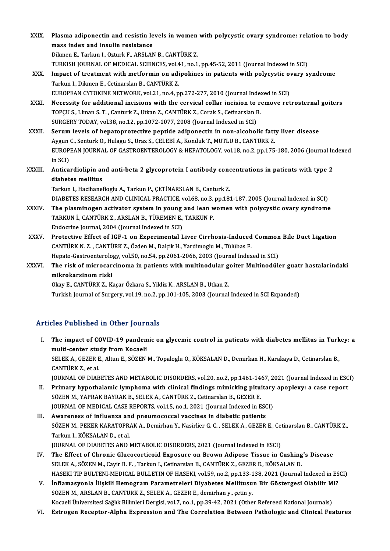| XXIX.   | Plasma adiponectin and resistin levels in women with polycystic ovary syndrome: relation to body                                                |
|---------|-------------------------------------------------------------------------------------------------------------------------------------------------|
|         | mass index and insulin resistance                                                                                                               |
|         | Dikmen E., Tarkun I., Ozturk F., ARSLAN B., CANTÜRK Z.                                                                                          |
|         | TURKISH JOURNAL OF MEDICAL SCIENCES, vol.41, no.1, pp.45-52, 2011 (Journal Indexed in SCI)                                                      |
| XXX.    | Impact of treatment with metformin on adipokines in patients with polycystic ovary syndrome<br>Tarkun I., Dikmen E., Cetinarslan B., CANTÜRK Z. |
|         | EUROPEAN CYTOKINE NETWORK, vol.21, no.4, pp.272-277, 2010 (Journal Indexed in SCI)                                                              |
| XXXI.   | Necessity for additional incisions with the cervical collar incision to remove retrosternal goiters                                             |
|         | TOPÇU S., Liman S. T., Canturk Z., Utkan Z., CANTÜRK Z., Corak S., Cetinarslan B.                                                               |
|         | SURGERY TODAY, vol.38, no.12, pp.1072-1077, 2008 (Journal Indexed in SCI)                                                                       |
| XXXII.  | Serum levels of hepatoprotective peptide adiponectin in non-alcoholic fatty liver disease                                                       |
|         | Aygun C., Senturk O., Hulagu S., Uraz S., CELEBİ A., Konduk T., MUTLU B., CANTÜRK Z.                                                            |
|         | EUROPEAN JOURNAL OF GASTROENTEROLOGY & HEPATOLOGY, vol.18, no.2, pp.175-180, 2006 (Journal Indexed                                              |
|         | in SCI)                                                                                                                                         |
| XXXIII. | Anticardiolipin and anti-beta 2 glycoprotein I antibody concentrations in patients with type 2                                                  |
|         | diabetes mellitus                                                                                                                               |
|         | Tarkun I., Hacihanefioglu A., Tarkun P., CETİNARSLAN B., Canturk Z.                                                                             |
|         | DIABETES RESEARCH AND CLINICAL PRACTICE, vol.68, no.3, pp.181-187, 2005 (Journal Indexed in SCI)                                                |
| XXXIV.  | The plasminogen activator system in young and lean women with polycystic ovary syndrome                                                         |
|         | TARKUN İ., CANTÜRK Z., ARSLAN B., TÜREMEN E., TARKUN P.                                                                                         |
|         | Endocrine Journal, 2004 (Journal Indexed in SCI)                                                                                                |
| XXXV.   | Protective Effect of IGF-1 on Experimental Liver Cirrhosis-Induced Common Bile Duct Ligation                                                    |
|         | CANTÜRK N. Z., CANTÜRK Z., Özden M., Dalçik H., Yardimoglu M., Tülübas F.                                                                       |
|         | Hepato-Gastroenterology, vol.50, no.54, pp.2061-2066, 2003 (Journal Indexed in SCI)                                                             |
| XXXVI.  | The risk of microcarcinoma in patients with multinodular goiter Multinodüler guatr hastalarindaki                                               |
|         | mikrokarsinom riski                                                                                                                             |
|         | Okay E., CANTÜRK Z., Kaçar Özkara S., Yildiz K., ARSLAN B., Utkan Z.                                                                            |
|         | Turkish Journal of Surgery, vol.19, no.2, pp.101-105, 2003 (Journal Indexed in SCI Expanded)                                                    |
|         |                                                                                                                                                 |

#### Articles Published in Other Journals

- rticles Published in Other Journals<br>I. The impact of COVID-19 pandemic on glycemic control in patients with diabetes mellitus in Turkey: a<br>multi conter study from Kospeli multi-center study from Kocaeli<br>multi-center study from Kocaeli<br>SELEMA CEZERE Alture SÖZEN The impact of COVID-19 pandemic on glycemic control in patients with diabetes mellitus in Turk<br>multi-center study from Kocaeli<br>SELEK A., GEZER E., Altun E., SÖZEN M., Topaloglu O., KÖKSALAN D., Demirkan H., Karakaya D., Ce multi-center stue<br>SELEK A., GEZER E<br>CANTÜRK Z., et al.<br>JOUPNAL OF DIAP SELEK A., GEZER E., Altun E., SÖZEN M., Topaloglu O., KÖKSALAN D., Demirkan H., Karakaya D., Cetinarslan B.,<br>CANTÜRK Z., et al.<br>JOURNAL OF DIABETES AND METABOLIC DISORDERS, vol.20, no.2, pp.1461-1467, 2021 (Journal Indexed CANTÜRK Z., et al.<br>JOURNAL OF DIABETES AND METABOLIC DISORDERS, vol.20, no.2, pp.1461-1467, 2021 (Journal Indexed in ESCI)<br>II. Primary hypothalamic lymphoma with clinical findings mimicking pituitary apoplexy: a case repor
- JOURNAL OF DIABETES AND METABOLIC DISORDERS, vol.20, no.2, pp.1461-14<br>Primary hypothalamic lymphoma with clinical findings mimicking pitu:<br>SÖZEN M., YAPRAK BAYRAK B., SELEK A., CANTÜRK Z., Cetinarslan B., GEZER E.<br>JOUPMAL Primary hypothalamic lymphoma with clinical findings mimicking pituitary<br>SÖZEN M., YAPRAK BAYRAK B., SELEK A., CANTÜRK Z., Cetinarslan B., GEZER E.<br>JOURNAL OF MEDICAL CASE REPORTS, vol.15, no.1, 2021 (Journal Indexed in ES SÖZEN M., YAPRAK BAYRAK B., SELEK A., CANTÜRK Z., Cetinarslan B., GEZER E.<br>JOURNAL OF MEDICAL CASE REPORTS, vol.15, no.1, 2021 (Journal Indexed in ESC<br>III. Awareness of influenza and pneumococcal vaccines in diabetic patie
- JOURNAL OF MEDICAL CASE REPORTS, vol.15, no.1, 2021 (Journal Indexed in ESCI)<br><mark>Awareness of influenza and pneumococcal vaccines in diabetic patients</mark><br>SÖZEN M., PEKER KARATOPRAK A., Demirhan Y., Nasirlier G. C. , SELEK A., Awareness of influenza an<br>SÖZEN M., PEKER KARATOPR.<br>Tarkun I., KÖKSALAN D., et al.<br>JOUPNAL OF DIAPETES AND I SÖZEN M., PEKER KARATOPRAK A., Demirhan Y., Nasirlier G. C. , SELEK A., GEZER E., Cet<br>Tarkun I., KÖKSALAN D., et al.<br>JOURNAL OF DIABETES AND METABOLIC DISORDERS, 2021 (Journal Indexed in ESCI)<br>The Effect of Chronic Cluseco Tarkun I., KÖKSALAN D., et al.<br>JOURNAL OF DIABETES AND METABOLIC DISORDERS, 2021 (Journal Indexed in ESCI)<br>IV. The Effect of Chronic Glucocorticoid Exposure on Brown Adipose Tissue in Cushing's Disease<br>SELEV A. SÖZEN M. Co
- JOURNAL OF DIABETES AND METABOLIC DISORDERS, 2021 (Journal Indexed in ESCI)<br>The Effect of Chronic Glucocorticoid Exposure on Brown Adipose Tissue in Cushing<br>SELEK A., SÖZEN M., Cayir B. F. , Tarkun I., Cetinarslan B., CANT The Effect of Chronic Glucocorticoid Exposure on Brown Adipose Tissue in Cushing's Disease<br>SELEK A., SÖZEN M., Cayir B. F. , Tarkun I., Cetinarslan B., CANTÜRK Z., GEZER E., KÖKSALAN D.<br>HASEKI TIP BULTENI-MEDICAL BULLETIN SELEK A., SÖZEN M., Cayir B. F. , Tarkun I., Cetinarslan B., CANTÜRK Z., GEZER E., KÖKSALAN D.<br>HASEKI TIP BULTENI-MEDICAL BULLETIN OF HASEKI, vol.59, no.2, pp.133-138, 2021 (Journal Indexed in ESCI)<br>V. İnflamasyonla İlişki
- SÖZEN M., ARSLAN B., CANTÜRK Z., SELEK A., GEZER E., demirhan y., çetin y. Kocaeli Üniversitesi Sağlık Bilimleri Dergisi, vol.7, no.1, pp.39-42, 2021 (Other Refereed National Journals)
- VI. Estrogen Receptor-Alpha Expression and The Correlation Between Pathologic and Clinical Features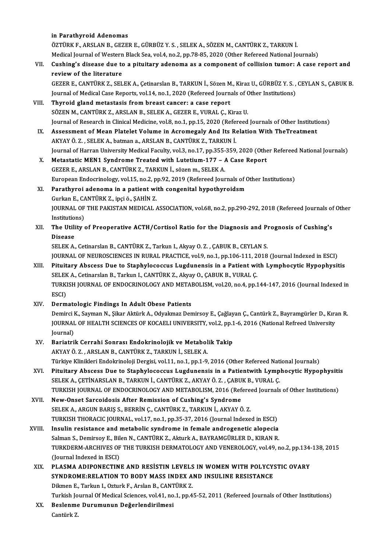#### in Parathyroid Adenomas

in Parathyroid Adenomas<br>ÖZTÜRK F., ARSLAN B., GEZER E., GÜRBÜZ Y. S. , SELEK A., SÖZEN M., CANTÜRK Z., TARKUN İ.<br>Medisəl Journal of Western Blask Sea vol 4, no 2, np 79, 95, 2020 (Other Beforeed National Jo in Parathyroid Adenomas<br>ÖZTÜRK F., ARSLAN B., GEZER E., GÜRBÜZ Y. S. , SELEK A., SÖZEN M., CANTÜRK Z., TARKUN İ.<br>Medical Journal of Western Black Sea, vol.4, no.2, pp.78-85, 2020 (Other Refereed National Journals)<br>Cuching' ÖZTÜRK F., ARSLAN B., GEZER E., GÜRBÜZ Y. S. , SELEK A., SÖZEN M., CANTÜRK Z., TARKUN İ.<br>Medical Journal of Western Black Sea, vol.4, no.2, pp.78-85, 2020 (Other Refereed National Journals)<br>VII. Cushing's disease due to a

## Medical Journal of Western<br>Cushing's disease due to<br>review of the literature<br>CEZER E CANTÜRKZ SEL Cushing's disease due to a pituitary adenoma as a component of collision tumor: A case report and<br>review of the literature<br>GEZER E., CANTÜRK Z., SELEK A., Çetinarslan B., TARKUN İ., Sözen M., Kiraz U., GÜRBÜZ Y. S. , CEYLA

review of the literature<br>GEZER E., CANTÜRK Z., SELEK A., Çetinarslan B., TARKUN İ., Sözen M., Kiraz U., GÜRBÜZ Y. S. ,<br>Journal of Medical Case Reports, vol.14, no.1, 2020 (Refereed Journals of Other Institutions)<br>Thuroid g GEZER E., CANTÜRK Z., SELEK A., Çetinarslan B., TARKUN İ., Sözen M<br>Journal of Medical Case Reports, vol.14, no.1, 2020 (Refereed Journal<br>VIII. Thyroid gland metastasis from breast cancer: a case report<br>SÖZEN M. CANTÜRK Z.

- Journal of Medical Case Reports, vol.14, no.1, 2020 (Refereed Journals of Other Institutions)<br>Thyroid gland metastasis from breast cancer: a case report<br>SÖZEN M., CANTÜRK Z., ARSLAN B., SELEK A., GEZER E., VURAL C., Kiraz Thyroid gland metastasis from breast cancer: a case report<br>SÖZEN M., CANTÜRK Z., ARSLAN B., SELEK A., GEZER E., VURAL Ç., Kiraz U.<br>Journal of Research in Clinical Medicine, vol.8, no.1, pp.15, 2020 (Refereed Journals of Ot SÖZEN M., CANTÜRK Z., ARSLAN B., SELEK A., GEZER E., VURAL Ç., Kiraz U.<br>Journal of Research in Clinical Medicine, vol.8, no.1, pp.15, 2020 (Refereed Journals of Other Institution IX.<br>Assessment of Mean Platelet Volume in A
- Journal of Research in Clinical Medicine, vol.8, no.1, pp.15, 2020 (Referent Assessment of Mean Platelet Volume in Acromegaly And Its Real (AKYAY Ö. Z. , SELEK A., batman a., ARSLAN B., CANTÜRK Z., TARKUN İ. IX. Assessment of Mean Platelet Volume in Acromegaly And Its Relation With TheTreatment<br>AKYAY Ö. Z. , SELEK A., batman a., ARSLAN B., CANTÜRK Z., TARKUN İ.<br>Journal of Harran University Medical Faculty, vol.3, no.17, pp.355 AKYAY Ö. Z. , SELEK A., batman a., ARSLAN B., CANTÜRK Z., TARKUN İ.<br>Journal of Harran University Medical Faculty, vol.3, no.17, pp.355-359, 2020 (Othe<br>X. Metastatic MEN1 Syndrome Treated with Lutetium-177 – A Case Report<br>C
- Journal of Harran University Medical Faculty, vol.3, no.17, pp.355-<br>Metastatic MEN1 Syndrome Treated with Lutetium-177 *I*<br>GEZER E., ARSLAN B., CANTÜRK Z., TARKUN İ., sözen m., SELEK A.<br>European Endecripelegy vol.15, no. GEZER E., ARSLAN B., CANTÜRK Z., TARKUN İ., sözen m., SELEK A.<br>European Endocrinology, vol.15, no.2, pp.92, 2019 (Refereed Journals of Other Institutions) GEZER E., ARSLAN B., CANTÜRK Z., TARKUN İ., sözen m., SELEK A.<br>European Endocrinology, vol.15, no.2, pp.92, 2019 (Refereed Journals of G.)<br>XI. Parathyroi adenoma in a patient with congenital hypothyroidsm<br>Curkan E. CANTÜRK

#### European Endocrinology, vol.15, no.2, p<br>Parathyroi adenoma in a patient wi<br>Gurkan E., CANTÜRK Z., ipçi ö., ŞAHİN Z.<br>JOUPNAL OF THE RAKISTAN MEDICAL Gurkan E., CANTÜRK Z., ipci ö., SAHİN Z.

JOURNAL OF THE PAKISTAN MEDICAL ASSOCIATION, vol.68, no.2, pp.290-292, 2018 (Refereed Journals of Other<br>Institutions) JOURNAL OF THE PAKISTAN MEDICAL ASSOCIATION, vol.68, no.2, pp.290-292, 2018 (Refereed Journals of Institutions)<br>XII. The Utility of Preoperative ACTH/Cortisol Ratio for the Diagnosis and Prognosis of Cushing's<br>Disease

# Institutio<br>The Utili<br>Disease<br>SELEVA

Disease<br>SELEK A., Cetinarslan B., CANTÜRK Z., Tarkun I., Akyay O. Z. , ÇABUK B., CEYLAN S. Disease<br>SELEK A., Cetinarslan B., CANTÜRK Z., Tarkun I., Akyay O. Z. , ÇABUK B., CEYLAN S.<br>JOURNAL OF NEUROSCIENCES IN RURAL PRACTICE, vol.9, no.1, pp.106-111, 2018 (Journal Indexed in ESCI)<br>Bituitary Absesse Due to Stanby

- XIII. Pituitary Abscess Due to Staphylococcus Lugdunensis in a Patient with Lymphocytic Hypophysitis JOURNAL OF NEUROSCIENCES IN RURAL PRACTICE, vol.9, no.1, pp.106-111, 2<br>Pituitary Abscess Due to Staphylococcus Lugdunensis in a Patient wi<br>SELEK A., Cetinarslan B., Tarkun I., CANTÜRK Z., Akyay O., ÇABUK B., VURAL Ç.<br>TURKI TURKISH JOURNAL OF ENDOCRINOLOGY AND METABOLISM, vol.20, no.4, pp.144-147, 2016 (Journal Indexed in ESCI) SELEK A., Cetinarslan B., Tarkun I., CANTÜRK Z., Akyay O., CABUK B., VURAL C.
- XIV. Dermatologic Findings In Adult Obese Patients

ESCI)<br>Dermatologic Findings In Adult Obese Patients<br>Demirci K., Sayman N., Şikar Aktürk A., Odyakmaz Demirsoy E., Çağlayan Ç., Cantürk Z., Bayramgürler D., Kıran R<br>JOUPMAL OF HEALTH SCIENCES OF KOCAELLUNIVERSITY, vol 2, nn Dermatologic Findings In Adult Obese Patients<br>Demirci K., Sayman N., Şikar Aktürk A., Odyakmaz Demirsoy E., Çağlayan Ç., Cantürk Z., Bayramgürler D., Kıra<br>JOURNAL OF HEALTH SCIENCES OF KOCAELI UNIVERSITY, vol.2, pp.1-6, 20 Demirci I<br>JOURNAI<br>Journal)<br>Poriotri JOURNAL OF HEALTH SCIENCES OF KOCAELI UNIVERSITY, vol.2, pp.1<br>Journal)<br>XV. Bariatrik Cerrahi Sonrası Endokrinolojik ve Metabolik Takip

## Journal)<br>Bariatrik Cerrahi Sonrası Endokrinolojik ve Metabol<br>AKYAY Ö. Z. , ARSLAN B., CANTÜRK Z., TARKUN İ., SELEK A.<br>Türkiye Klinikleri Endokrinoloji Dergisi vel 11 no 1 nn 1 9 Bariatrik Cerrahi Sonrası Endokrinolojik ve Metabolik Takip<br>AKYAY Ö. Z. , ARSLAN B., CANTÜRK Z., TARKUN İ., SELEK A.<br>Türkiye Klinikleri Endokrinoloji Dergisi, vol.11, no.1, pp.1-9, 2016 (Other Refereed National Journals)<br>P

AKYAY Ö. Z. , ARSLAN B., CANTÜRK Z., TARKUN İ., SELEK A.<br>Türkiye Klinikleri Endokrinoloji Dergisi, vol.11, no.1, pp.1-9, 2016 (Other Refereed National Journals)<br>XVI. Pituitary Abscess Due to Staphylococcus Lugdunensis in a Türkiye Klinikleri Endokrinoloji Dergisi, vol.11, no.1, pp.1-9, 2016 (Other Refereed Nati<br>Pituitary Abscess Due to Staphylococcus Lugdunensis in a Patientwith Lymp<br>SELEK A., ÇETİNARSLAN B., TARKUN İ., CANTÜRK Z., AKYAY Ö. Pituitary Abscess Due to Staphylococcus Lugdunensis in a Patientwith Lymphocytic Hypophysiti<br>SELEK A., ÇETİNARSLAN B., TARKUN İ., CANTÜRK Z., AKYAY Ö. Z. , ÇABUK B., VURAL Ç.<br>TURKISH JOURNAL OF ENDOCRINOLOGY AND METABOLISM SELEK A., ÇETİNARSLAN B., TARKUN İ., CANTÜRK Z., AKYAY Ö. Z. , ÇABU<br>TURKISH JOURNAL OF ENDOCRINOLOGY AND METABOLISM, 2016 (Ref<br>XVII. New-Onset Sarcoidosis After Remission of Cushing's Syndrome<br>SELEK A. APCUN BARIS S. PERRI

TURKISH JOURNAL OF ENDOCRINOLOGY AND METABOLISM, 2016 (Refered<br>New-Onset Sarcoidosis After Remission of Cushing's Syndrome<br>SELEK A., ARGUN BARIŞ S., BERRİN Ç., CANTÜRK Z., TARKUN İ., AKYAY Ö. Z.<br>TURKISH THORACIC JOURNAL .v New-Onset Sarcoidosis After Remission of Cushing's Syndrome<br>SELEK A., ARGUN BARIŞ S., BERRİN Ç., CANTÜRK Z., TARKUN İ., AKYAY Ö. Z.<br>TURKISH THORACIC JOURNAL, vol.17, no.1, pp.35-37, 2016 (Journal Indexed in ESCI) SELEK A., ARGUN BARIŞ S., BERRİN Ç., CANTÜRK Z., TARKUN İ., AKYAY Ö. Z.<br>TURKISH THORACIC JOURNAL, vol.17, no.1, pp.35-37, 2016 (Journal Indexed in ESCI)<br>XVIII. Insulin resistance and metabolic syndrome in female androgenet

- TURKISH THORACIC JOURNAL, vol.17, no.1, pp.35-37, 2016 (Journal Indexed in ESCI)<br>Insulin resistance and metabolic syndrome in female androgenetic alopecia<br>Salman S., Demirsoy E., Bilen N., CANTÜRK Z., Akturk A., BAYRAMGÜRL Insulin resistance and metabolic syndrome in female androgenetic alopecia<br>Salman S., Demirsoy E., Bilen N., CANTÜRK Z., Akturk A., BAYRAMGÜRLER D., KIRAN R.<br>TURKDERM-ARCHIVES OF THE TURKISH DERMATOLOGY AND VENEROLOGY, vol. Salman S., Demirsoy E., Bilen N., CANTÜRK Z., Akturk A., BAYRAMGÜRLER D., KIRAN R.<br>TURKDERM-ARCHIVES OF THE TURKISH DERMATOLOGY AND VENEROLOGY, vol.49, no.2, pp.134<br>(Journal Indexed in ESCI)<br>PLASMA ADIPONECTINE AND RESISTI TURKDERM-ARCHIVES OF THE TURKISH DERMATOLOGY AND VENEROLOGY, vol.49, no.2, pp.134-<br>(Journal Indexed in ESCI)<br>XIX. PLASMA ADIPONECTINE AND RESISTIN LEVELS IN WOMEN WITH POLYCYSTIC OVARY<br>SYNDROME.RELATION TO BODY MASS INDEX
- (Journal Indexed in ESCI)<br>PLASMA ADIPONECTINE AND RESISTIN LEVELS IN WOMEN WITH POLYCY:<br>SYNDROME:RELATION TO BODY MASS INDEX AND INSULINE RESISTANCE<br>Dilmon E. Torlam L. Orturk E. Arelan B. CANTIDK 7 PLASMA ADIPONECTINE AND RESISTIN LEVELS<br>SYNDROME:RELATION TO BODY MASS INDEX A<br>Dikmen E., Tarkun I., Ozturk F., Arslan B., CANTÜRK Z.<br>Turkish Journal Of Modisal Sciences, vol.4.1, po.4, pp.4. Dikmen E., Tarkun I., Ozturk F., Arslan B., CANTÜRK Z.<br>Turkish Journal Of Medical Sciences, vol.41, no.1, pp.45-52, 2011 (Refereed Journals of Other Institutions) Dikmen E., Tarkun I., Ozturk F., Arslan B., CANT<br>Turkish Journal Of Medical Sciences, vol.41, no<br>XX. Beslenme Durumunun Değerlendirilmesi<br>Contink Z
- Turkish Jo<br><mark>Beslenme</mark><br>Cantürk Z.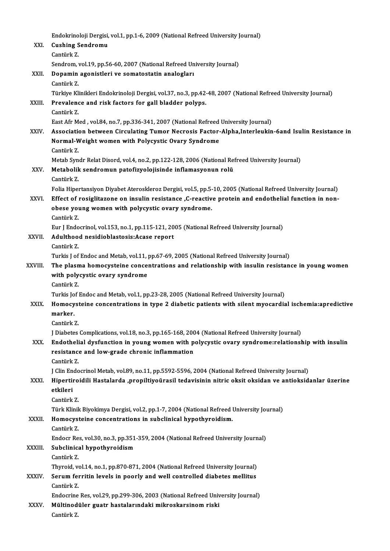|             | Endokrinoloji Dergisi, vol.1, pp.1-6, 2009 (National Refreed University Journal)                                                                                                         |
|-------------|------------------------------------------------------------------------------------------------------------------------------------------------------------------------------------------|
| XXI.        | <b>Cushing Sendromu</b>                                                                                                                                                                  |
|             | Cantürk Z.                                                                                                                                                                               |
|             | Sendrom, vol.19, pp.56-60, 2007 (National Refreed University Journal)                                                                                                                    |
| XXII.       | Dopamin agonistleri ve somatostatin analogları                                                                                                                                           |
|             | Cantürk Z.                                                                                                                                                                               |
|             | Türkiye Klinikleri Endokrinoloji Dergisi, vol.37, no.3, pp.42-48, 2007 (National Refreed University Journal)                                                                             |
| XXIII.      | Prevalence and risk factors for gall bladder polyps.                                                                                                                                     |
|             | Cantürk Z                                                                                                                                                                                |
|             | East Afr Med, vol.84, no.7, pp.336-341, 2007 (National Refreed University Journal)<br>Association between Circulating Tumor Necrosis Factor-Alpha, Interleukin-6and Isulin Resistance in |
| XXIV        | Normal-Weight women with Polycystic Ovary Syndrome                                                                                                                                       |
|             | Cantürk Z                                                                                                                                                                                |
|             | Metab Syndr Relat Disord, vol.4, no.2, pp.122-128, 2006 (National Refreed University Journal)                                                                                            |
| XXV.        | Metabolik sendromun patofizyolojisinde inflamasyonun rolü                                                                                                                                |
|             | Cantürk Z.                                                                                                                                                                               |
|             | Folia Hipertansiyon Diyabet Ateroskleroz Dergisi, vol.5, pp.5-10, 2005 (National Refreed University Journal)                                                                             |
| XXVI.       | Effect of rosiglitazone on insulin resistance ,C-reactive protein and endothelial function in non-                                                                                       |
|             | obese young women with polycystic ovary syndrome.                                                                                                                                        |
|             | Cantürk Z.                                                                                                                                                                               |
|             | Eur J Endocrinol, vol.153, no.1, pp.115-121, 2005 (National Refreed University Journal)                                                                                                  |
| XXVII.      | Adulthood nesidioblastosis: Acase report<br>Cantürk Z.                                                                                                                                   |
|             | Turkis J of Endoc and Metab, vol.11, pp.67-69, 2005 (National Refreed University Journal)                                                                                                |
| XXVIII.     | The plasma homocysteine concentrations and relationship with insulin resistance in young women                                                                                           |
|             | with polycystic ovary syndrome                                                                                                                                                           |
|             | Cantürk Z                                                                                                                                                                                |
|             | Turkis Jof Endoc and Metab, vol.1, pp.23-28, 2005 (National Refreed University Journal)                                                                                                  |
| <b>XXIX</b> | Homocysteine concentrations in type 2 diabetic patients with silent myocardial ischemia:apredictive                                                                                      |
|             | marker.                                                                                                                                                                                  |
|             | Cantürk Z                                                                                                                                                                                |
|             | J Diabetes Complications, vol.18, no.3, pp.165-168, 2004 (National Refreed University Journal)                                                                                           |
| XXX.        | Endothelial dysfunction in young women with polycystic ovary syndrome:relationship with insulin<br>resistance and low-grade chronic inflammation                                         |
|             | Cantürk Z.                                                                                                                                                                               |
|             | J Clin Endocrinol Metab, vol.89, no.11, pp.5592-5596, 2004 (National Refreed University Journal)                                                                                         |
| XXXI.       | Hipertiroidili Hastalarda ,propiltiyoürasil tedavisinin nitric oksit oksidan ve antioksidanlar üzerine                                                                                   |
|             | etkileri                                                                                                                                                                                 |
|             | Cantürk Z                                                                                                                                                                                |
|             | Türk Klinik Biyokimya Dergisi, vol.2, pp.1-7, 2004 (National Refreed University Journal)                                                                                                 |
| XXXII.      | Homocysteine concentrations in subclinical hypothyroidism.                                                                                                                               |
|             | Cantürk Z                                                                                                                                                                                |
|             | Endocr Res, vol.30, no.3, pp.351-359, 2004 (National Refreed University Journal)                                                                                                         |
| XXXIII.     | Subclinical hypothyroidism                                                                                                                                                               |
|             | Cantürk Z                                                                                                                                                                                |
|             | Thyroid, vol.14, no.1, pp.870-871, 2004 (National Refreed University Journal)<br>Serum ferritin levels in poorly and well controlled diabetes mellitus                                   |
| XXXIV.      | Cantürk Z                                                                                                                                                                                |
|             | Endocrine Res, vol.29, pp.299-306, 2003 (National Refreed University Journal)                                                                                                            |
| XXXV.       | Mültinodüler guatr hastalarındaki mikroskarsinom riski                                                                                                                                   |
|             | Cantürk Z                                                                                                                                                                                |
|             |                                                                                                                                                                                          |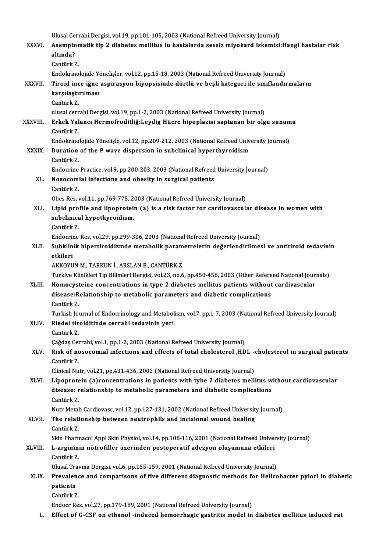|               | Ulusal Cerrahi Dergisi, vol.19, pp.101-105, 2003 (National Refreed University Journal)                                                                                                      |
|---------------|---------------------------------------------------------------------------------------------------------------------------------------------------------------------------------------------|
| <b>XXXVI</b>  | Asemptomatik tip 2 diabetes mellitus lu hastalarda sessiz miyokard iskemisi: Hangi hastalar risk<br>altında?                                                                                |
|               | Cantürk Z                                                                                                                                                                                   |
|               | Endokrinolojide Yönelişler, vol.12, pp.15-18, 2003 (National Refreed University Journal)                                                                                                    |
| <b>XXXVII</b> | Tiroid ince iğne aspirasyon biyopsisinde dörtlü ve beşli kategori ile sınıflandırmaların                                                                                                    |
|               | karşılaştırılması                                                                                                                                                                           |
|               | Cantürk Z.                                                                                                                                                                                  |
|               | ulusal cerrahi Dergisi, vol.19, pp.1-2, 2003 (National Refreed University Journal)                                                                                                          |
| XXXVIII.      | Erkek Yalancı Hermofroditliğ:Leydig Hücre hipoplazisi saptanan bir olgu sunumu<br>Cantürk Z                                                                                                 |
|               | Endokrinolojide Yönelişle, vol.12, pp.209-212, 2003 (National Refreed University Journal)                                                                                                   |
| <b>XXXIX</b>  | Duration of the P wave dispersion in subclinical hyperthyroidism                                                                                                                            |
|               | Cantürk Z                                                                                                                                                                                   |
|               | Endocrine Practice, vol.9, pp.200-203, 2003 (National Refreed University Journal)                                                                                                           |
| XL.           | Nosocomial infections and obesity in surgical patients                                                                                                                                      |
|               | Cantürk Z.                                                                                                                                                                                  |
|               | Obes Res, vol.11, pp.769-775, 2003 (National Refreed University Journal)                                                                                                                    |
| XLI.          | Lipid profile and lipoprotein (a) is a risk factor for cardiovascular disease in women with                                                                                                 |
|               | subclinical hypothyroidism.                                                                                                                                                                 |
|               | Cantürk Z.                                                                                                                                                                                  |
| XLII.         | Endocrine Res, vol.29, pp.299-306, 2003 (National Refreed University Journal)<br>Subklinik hipertiroidizmde metabolik parametrelerin değerlendirilmesi ve antitiroid tedavinin              |
|               | etkileri                                                                                                                                                                                    |
|               | AKKOYUN M., TARKUN İ., ARSLAN B., CANTÜRK Z.                                                                                                                                                |
|               | Turkiye Klinikleri Tip Bilimleri Dergisi, vol.23, no.6, pp.450-458, 2003 (Other Refereed National Journals)                                                                                 |
| XLIII.        | Homocysteine concentrations in type 2 diabetes mellitus patients without cardivascular                                                                                                      |
|               | disease: Relationship to metabolic parameters and diabetic complications                                                                                                                    |
|               | Cantürk Z                                                                                                                                                                                   |
|               | Turkish Journal of Endocrinology and Metabolism, vol.7, pp.1-7, 2003 (National Refreed University Journal)                                                                                  |
| XLIV.         | Riedel tiroiditinde cerrahi tedavinin yeri                                                                                                                                                  |
|               | Cantürk Z                                                                                                                                                                                   |
|               | Çağdaş Cerrahi, vol.1, pp.1-2, 2003 (National Refreed University Journal)                                                                                                                   |
| XLV.          | Risk of nosocomial infections and effects of total cholesterol ,HDL -cholesterol in surgical patients<br>Cantürk Z.                                                                         |
|               | Clinical Nutr, vol.21, pp.431-436, 2002 (National Refreed University Journal)                                                                                                               |
| XLVI.         | Lipoprotein (a) concentrations in patients with tybe 2 diabetes mellitus without cardiovascular                                                                                             |
|               | disease: relationship to metabolic parameters and diabetic complications                                                                                                                    |
|               | Cantürk Z                                                                                                                                                                                   |
|               | Nutr Metab Cardiovasc, vol.12, pp.127-131, 2002 (National Refreed University Journal)                                                                                                       |
| XLVII.        | The relationship between neutrophils and incisional wound healing                                                                                                                           |
|               | Cantürk Z                                                                                                                                                                                   |
|               | Skin Pharmacol Appl Skin Physiol, vol.14, pp.108-116, 2001 (National Refreed University Journal)                                                                                            |
| XLVIII.       | L-argininin nötrofiller üzerinden postoperatif adezyon oluşumuna etkileri                                                                                                                   |
|               | Cantürk Z                                                                                                                                                                                   |
|               | Ulusal Travma Dergisi, vol.6, pp.155-159, 2001 (National Refreed University Journal)<br>Prevalence and comparisons of five different diagnostic methods for Helicobacter pylori in diabetic |
| XLIX.         | patients                                                                                                                                                                                    |
|               | Cantürk Z.                                                                                                                                                                                  |
|               | Endocr Res, vol.27, pp.179-189, 2001 (National Refreed University Journal)                                                                                                                  |
| L.            | Effect of G-CSF on ethanol -induced hemorrhagic gastritis model in diabetes mellitus induced rat                                                                                            |
|               |                                                                                                                                                                                             |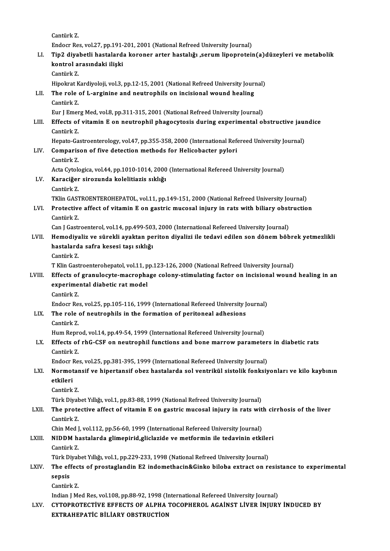CantürkZ.

Endocr Res, vol.27, pp.191-201, 2001 (National Refreed University Journal)

LI. Tip2 diyabetli hastalarda koroner arter hastalığı ,serumlipoprotein(a)düzeyleri vemetabolik Endocr Res, vol.27, pp.191-<br>Tip2 diyabetli hastalard:<br>kontrol arasındaki ilişki<br>Centürk 7 Tip2 diya<br>kontrol a:<br>Cantürk Z.<br>Hinokrat K

Cantürk Z.<br>Hipokrat Kardiyoloji, vol.3, pp.12-15, 2001 (National Refreed University Journal)

### Cantürk Z.<br>Hipokrat Kardiyoloji, vol.3, pp.12-15, 2001 (National Refreed University Journ<br>LII. The role of L-arginine and neutrophils on incisional wound healing<br>Contürk 7 Hipokrat K<br>**The role**<br>Cantürk Z.<br>Eur LEmer The role of L-arginine and neutrophils on incisional wound healing<br>Cantürk Z.<br>Eur J Emerg Med, vol.8, pp.311-315, 2001 (National Refreed University Journal)<br>Effects of vitamin E on neutrophil phageoviesis during experiment

### Cantürk Z.<br>Eur J Emerg Med, vol.8, pp.311-315, 2001 (National Refreed University Journal)<br>LIII. Effects of vitamin E on neutrophil phagocytosis during experimental obstructive jaundice<br>Cantürk 7 Eur J Emer<br>**Effects of**<br>Cantürk Z.<br>Henste Ce Effects of vitamin E on neutrophil phagocytosis during experimental obstructive jaunch<br>Cantürk Z.<br>Hepato-Gastroenterology, vol.47, pp.355-358, 2000 (International Refereed University Journal)<br>Comparison of five detection m

#### Cantürk Z.<br>Hepato-Gastroenterology, vol.47, pp.355-358, 2000 (International Reformethods for Helicobacter pylori<br>Contürk Z Hepato-Ga<br>Comparis<br>Cantürk Z.<br>Acto Cytols Comparison of five detection methods for Helicobacter pylori<br>Cantürk Z.<br>Acta Cytologica, vol.44, pp.1010-1014, 2000 (International Refereed University Journal)<br>Kanasišer sirosunda kalelitiaris sıklığı Cantürk Z.<br>Acta Cytologica, vol.44, pp.1010-1014, 2000<br>LV. Karaciğer sirozunda kolelitiazis sıklığı<br>Cantürk Z.

# Acta Cytolo<br>**Karaciğer**<br>Cantürk Z.<br>TKlin CASI

TKlin GASTROENTEROHEPATOL, vol.11, pp.149-151, 2000 (National Refreed University Journal)

### Cantürk Z.<br>TKlin GASTROENTEROHEPATOL, vol.11, pp.149-151, 2000 (National Refreed University Journal)<br>LVI. Protective affect of vitamin E on gastric mucosal injury in rats with biliary obstruction TKlin GAST<br>**Protective**<br>Cantürk Z.<br>Can LCasti Protective affect of vitamin E on gastric mucosal injury in rats with biliary obst<br>Cantürk Z.<br>Can J Gastroenterol, vol.14, pp.499-503, 2000 (International Refereed University Journal)<br>Hamodivaliz ve sürekli avaktan naritan

#### Cantürk Z.<br>Can J Gastroenterol, vol.14, pp.499-503, 2000 (International Refereed University Journal)<br>LVII. Hemodiyaliz ve sürekli ayaktan periton diyalizi ile tedavi edilen son dönem böbrek yetmezlikli<br>hastalarda safra Can J Gastroenterol, vol.14, pp.499-503, 2000 (International Refereed University Journal)<br>Hemodiyaliz ve sürekli ayaktan periton diyalizi ile tedavi edilen son dönem böl<br>hastalarda safra kesesi taşı sıklığı<br>Cantürk Z. Hemodiya<br>hastalard<br>Cantürk Z.<br>T.Klin Cast hastalarda safra kesesi taşı sıklığı<br>Cantürk Z.<br>T Klin Gastroenterohepatol, vol.11, pp.123-126, 2000 (National Refreed University Journal)<br>Effects of sranulogyta masrophase selany, stimulating factor on insisional wound

#### Cantürk Z.<br>T Klin Gastroenterohepatol, vol.11, pp.123-126, 2000 (National Refreed University Journal)<br>LVIII. Effects of granulocyte-macrophage colony-stimulating factor on incisional wound healing in an<br>avnorimental disbet T Klin Gastroenterohepatol, vol.11, p<br>Effects of granulocyte-macropha<br>experimental diabetic rat model<br>Contürk 7 Effects of<br>experime<br>Cantürk Z.<br>Endeer Pe experimental diabetic rat model<br>Cantürk Z.<br>Endocr Res, vol.25, pp.105-116, 1999 (International Refereed University Journal)<br>The role of neutrophils in the formation of neutroped adhesions

### Cantürk Z.<br>Endocr Res, vol.25, pp.105-116, 1999 (International Refereed University J<br>LIX. The role of neutrophils in the formation of peritoneal adhesions<br>Cantürk Z. Endocr Re.<br>**The role**<br>Cantürk Z.<br>Hum Penr.

Hum Reprod, vol.14, pp.49-54, 1999 (International Refereed University Journal)

### Cantürk Z.<br>Hum Reprod, vol.14, pp.49-54, 1999 (International Refereed University Journal)<br>LX. Effects of rhG-CSF on neutrophil functions and bone marrow parameters in diabetic rats Hum Repre<br>Effects of<br>Cantürk Z.<br>Endocr Po Effects of rhG-CSF on neutrophil functions and bone marrow parameter<br>Cantürk Z.<br>Endocr Res, vol.25, pp.381-395, 1999 (International Refereed University Journal)<br>Normataneif ve binertaneif shes hastalande asl ventribül sist

Endocr Res, vol.25, pp.381-395, 1999 (International Refereed University Journal)

## Cantürk Z.<br>Endocr Res, vol.25, pp.381-395, 1999 (International Refereed University Journal)<br>LXI. Normotansif ve hipertansif obez hastalarda sol ventrikül sistolik fonksiyonları ve kilo kaybının<br>etkileri <mark>etkileri</mark><br>Cantürk Z.<br>Türk Diyabet Yıllığı, vol.1, pp.83-88, 1999 (National Refreed University Journal)<br>The pretestive affest of vitemin E en sastris musesel injuny in nats wit

CantürkZ.

#### LXII. The protective affect of vitamin E on gastric mucosal injury in rats with cirrhosis of the liver<br>Cantürk Z. Türk Diya<mark>t</mark><br>**The prote**<br>Cantürk Z.<br>Chin Med I The protective affect of vitamin E on gastric mucosal injury in rats with<br>Cantürk Z.<br>Chin Med J, vol.112, pp.56-60, 1999 (International Refereed University Journal)<br>NIDDM bestalande glimeninid glielaride ve metfermin ile t

### Cantürk Z.<br>Chin Med J, vol.112, pp.56-60, 1999 (International Refereed University Journal)<br>LXIII. NIDDM hastalarda glimepirid,gliclazide ve metformin ile tedavinin etkileri<br>Cantürk Z Chin Med J<br>**NIDDM** ha<br>Cantürk Z.<br>Türk Divek NIDDM hastalarda glimepirid,gliclazide ve metformin ile tedavinin etkiler<br>Cantürk Z.<br>Türk Diyabet Yıllığı, vol.1, pp.229-233, 1998 (National Refreed University Journal)<br>The effects of prestaglandin E2 indemathesin&Ginke bi

### Cantürk Z.<br>Türk Diyabet Yıllığı, vol.1, pp.229-233, 1998 (National Refreed University Journal)<br>LXIV. The effects of prostaglandin E2 indomethacin&Ginko biloba extract on resistance to experimental Türk Diyabet Yıllığı, vol.1, pp.229-233, 1998 (National Refreed University Journal)<br>The effects of prostaglandin E2 indomethacin&Ginko biloba extract on r<br>sepsis<br>Cantürk Z. The effect<br>sepsis<br>Cantürk Z.<br>Indian I M

Indian J Med Res, vol.108, pp.88-92, 1998 (International Refereed University Journal)

## Cantürk Z.<br>Indian J Med Res, vol.108, pp.88-92, 1998 (International Refereed University Journal)<br>LXV. CYTOPROTECTİVE EFFECTS OF ALPHA TOCOPHEROL AGAİNST LİVER İNJURY İNDUCED BY<br>EXTRAHERATİC BİLİARY ORSTRUCTION Indian J Med Res, vol.108, pp.88-92, 1998 (Ir<br>CYTOPROTECTİVE EFFECTS OF ALPHA<br>EXTRAHEPATİC BİLİARY OBSTRUCTİON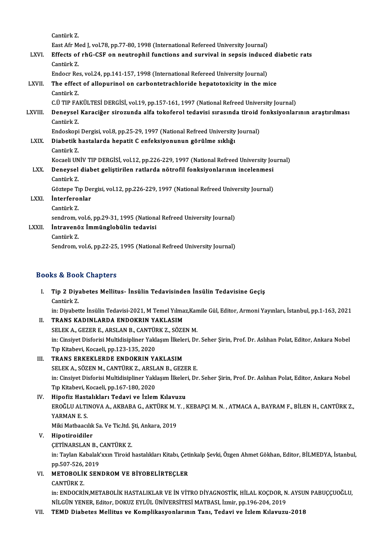CantürkZ. East Afr Med J, vol.78, pp.77-80, 1998 (International Refereed University Journal) Cantürk Z.<br>East Afr Med J, vol.78, pp.77-80, 1998 (International Refereed University Journal)<br>LXVI. Effects of rhG-CSF on neutrophil functions and survival in sepsis induced diabetic rats East Afr M<br>**Effects of**<br>Cantürk Z.<br>Endeer Pe Effects of rhG-CSF on neutrophil functions and survival in sepsis induce<br>Cantürk Z.<br>Endocr Res, vol.24, pp.141-157, 1998 (International Refereed University Journal)<br>The effect of allenurinal on carbontatrachloride benatoto Cantürk Z.<br>Endocr Res, vol.24, pp.141-157, 1998 (International Refereed University Journal)<br>LXVII. The effect of allopurinol on carbontetrachloride hepatotoxicity in the mice<br>Cantürk Z. Endocr Res, vol.24, pp.141-157, 1998 (International Refereed University Journal) The effect of allopurinol on carbontetrachloride hepatotoxicity in the mice<br>Cantürk Z.<br>C.Ü TIP FAKÜLTESİ DERGİSİ, vol.19, pp.157-161, 1997 (National Refreed University Journal)<br>Denevçel Karasiğer siresunda elfa teksferel t Cantürk Z.<br>C.Ü TIP FAKÜLTESİ DERGİSİ, vol.19, pp.157-161, 1997 (National Refreed University Journal)<br>LXVIII. Deneysel Karaciğer sirozunda alfa tokoferol tedavisi sırasında tiroid fonksiyonlarının araştırılması C.Ü TIP FA<br>Deneysel<br>Cantürk Z.<br>Endeskeni Deneysel Karaciğer sirozunda alfa tokoferol tedavisi sırasında tiroid !<br>Cantürk Z.<br>Endoskopi Dergisi, vol.8, pp.25-29, 1997 (National Refreed University Journal)<br>Dishetik hastalarda hanatit C anfaksiyonunun görülme sıklığı Cantürk Z.<br>Endoskopi Dergisi, vol.8, pp.25-29, 1997 (National Refreed University<br>LXIX. Diabetik hastalarda hepatit C enfeksiyonunun görülme sıklığı<br>Cantürk Z. Endoskopi Dergisi, vol.8, pp.25-29, 1997 (National Refreed University Journal) Diabetik hastalarda hepatit C enfeksiyonunun görülme sıklığı<br>Cantürk Z.<br>Kocaeli UNİV TIP DERGİSİ, vol.12, pp.226-229, 1997 (National Refreed University Journal)<br>Denevçel diabet selistinilen retlarda nötrefil fenksiyonlerun Cantürk Z.<br>Kocaeli UNİV TIP DERGİSİ, vol.12, pp.226-229, 1997 (National Refreed University Jou<br>LXX. Deneysel diabet geliştirilen ratlarda nötrofil fonksiyonlarının incelenmesi Kocaeli UN<br><mark>Deneysel</mark><br>Cantürk Z.<br>Cörtene Tr Deneysel diabet geliştirilen ratlarda nötrofil fonksiyonlarının incelenmesi<br>Cantürk Z.<br>Göztepe Tıp Dergisi, vol.12, pp.226-229, 1997 (National Refreed University Journal)<br>İnterferenler Cantürk Z.<br>Göztepe Tıp De<br>LXXI. İnterferonlar Göztepe Ti<br>**İnterfero**:<br>Cantürk Z.<br>sendrem İnterferonlar<br>Cantürk Z.<br>sendrom, vol.6, pp.29-31, 1995 (National Refreed University Journal)<br>İntravanğa İmmünglebülin tedevisi Cantürk Z.<br>sendrom, vol.6, pp.29-31, 1995 (Nationa<br>LXXII. İntravenöz İmmünglobülin tedavisi<br>Cantürk Z. sendrom, v<br><mark>İntravenö</mark><br>Cantürk Z.<br>Sendrom Sendrom, vol.6, pp.22-25, 1995 (National Refreed University Journal)

#### Books&Book Chapters

ooks & Book Chapters<br>I. Tip 2 Diyabetes Mellitus- İnsülin Tedavisinden İnsülin Tedavisine Geçiş<br>Sentürk Z Tip 2 Diya<br>Cantürk Z.<br>in: Divebat Tip 2 Diyabetes Mellitus- İnsülin Tedavisinden İnsülin Tedavisine Geçiş<br>Cantürk Z.<br>in: Diyabette İnsülin Tedavisi-2021, M Temel Yılmaz,Kamile Gül, Editor, Armoni Yayınları, İstanbul, pp.1-163, 2021<br>TRANS KADINI ARDA ENDOKR

Cantürk Z.<br>in: Diyabette İnsülin Tedavisi-2021, M Temel Yılma<br>II. TRANS KADINLARDA ENDOKRIN YAKLASIM<br>SELEMA GEZER E ARSLAN B GANTÜRMZ SÖZE in: Diyabette İnsülin Tedavisi-2021, M Temel Yılmaz,Kan<br>TRANS KADINLARDA ENDOKRIN YAKLASIM<br>SELEK A., GEZER E., ARSLAN B., CANTÜRK Z., SÖZEN M.<br>in: Ginsiyat Disfanisi Multidisinlinen Yaklasım İlkalari, Dr II. TRANS KADINLARDA ENDOKRIN YAKLASIM<br>SELEK A., GEZER E., ARSLAN B., CANTÜRK Z., SÖZEN M.<br>in: Cinsiyet Disforisi Multidisipliner Yaklaşım İlkeleri, Dr. Seher Şirin, Prof. Dr. Aslıhan Polat, Editor, Ankara Nobel<br>Tıp Kitabe SELEK A., GEZER E., ARSLAN B., CANTÜRK Z., SÖZEN M.

- III. TRANS ERKEKLERDE ENDOKRIN YAKLASIM Tıp Kitabevi, Kocaeli, pp.123-135, 2020<br>TRANS ERKEKLERDE ENDOKRIN YAKLASIM<br>SELEK A., SÖZEN M., CANTÜRK Z., ARSLAN B., GEZER E.<br>in: Ginsiyet Disforisi Multidisipliner Yaklasım İlkalari, Dr in: Cinsiyet Disforisi Multidisipliner Yaklaşım İlkeleri, Dr. Seher Şirin, Prof. Dr. Aslıhan Polat, Editor, Ankara Nobel<br>Tıp Kitabevi, Kocaeli, pp.167-180, 2020 SELEK A., SÖZEN M., CANTÜRK Z., ARSL<br>in: Cinsiyet Disforisi Multidisipliner Yakl<br>Tıp Kitabevi, Kocaeli, pp.167-180, 2020<br>Hinofir Hastalıkları Todavi ve İrlam
- IV. Hipofiz Hastalıkları Tedavi ve İzlem Kılavuzu Tıp Kitabevi, Kocaeli, pp.167-180, 2020<br>Hipofiz Hastalıkları Tedavi ve İzlem Kılavuzu<br>EROĞLU ALTINOVA A., AKBABA G., AKTÜRK M. Y. , KEBAPÇI M. N. , ATMACA A., BAYRAM F., BİLEN H., CANTÜRK Z.,<br>YARMAN E.S Hi<mark>pofiz Hast</mark><br>EROĞLU ALTI<br>YARMAN E. S.<br>Miki Matbaagu EROĞLU ALTINOVA A., AKBABA G., AKTÜRK M. Y<br>YARMAN E. S.<br>Miki Matbaacılık Sa. Ve Tic.ltd. Şti, Ankara, 2019<br>Hinotinaidiler YARMAN E. S.<br>Miki Matbaacılık Sa. Ve Tic.ltd. Ş<br>V. **Hipotiroidiler**<br>CETİNARSLAN B., CANTÜRK Z. Miki Matbaacılık Sa. Ve Tic ltd. Sti, Ankara, 2019

Hipotiroidiler<br>ÇETİNARSLAN B., CANTÜRK Z.<br>in: Taylan Kabalak'xxın Tiroid hastalıkları Kitabı, Çetinkalp Şevki, Özgen Ahmet Gökhan, Editor, BİLMEDYA, İstanbul,<br>pp 507,526,2019. CETİNARSLAN B., (<br>in: Taylan Kabalak<br>pp.507-526, 2019<br>METOROLİK SEN in: Taylan Kabalak'xxın Tiroid hastalıkları Kitabı, Çeti<br>pp.507-526, 2019<br>VI. METOBOLİK SENDROM VE BİYOBELİRTEÇLER pp.507-526,<br>**METOBOLII**<br>CANTÜRK Z.<br>in: ENDOCPI

METOBOLİK SENDROM VE BİYOBELİRTEÇLER<br>CANTÜRK Z.<br>in: ENDOCRİN,METABOLİK HASTALIKLAR VE İN VİTRO DİYAGNOSTİK, HİLAL KOÇDOR, N. AYSUN PABUÇÇUOĞLU,<br>NİLGÜN YENER, Editor, DOKUZ EVLÜL ÜNIVERSİTESI MATRASL İsmin pp.196,294,2919. CANTÜRK Z.<br>in: ENDOCRİN,METABOLİK HASTALIKLAR VE İN VİTRO DİYAGNOSTİK, HİLAL KOÇDOR, N<br>NİLGÜN YENER, Editor, DOKUZ EYLÜL ÜNİVERSİTESİ MATBASI, İzmir, pp.196-204, 2019<br>TEMP, Diabatas Mallitus ve Kamplikasıyanlanının Tanı, T

NİLGÜN YENER, Editor, DOKUZ EYLÜL ÜNİVERSİTESİ MATBASI, İzmir, pp.196-204, 2019<br>VII. TEMD Diabetes Mellitus ve Komplikasyonlarının Tanı, Tedavi ve İzlem Kılavuzu-2018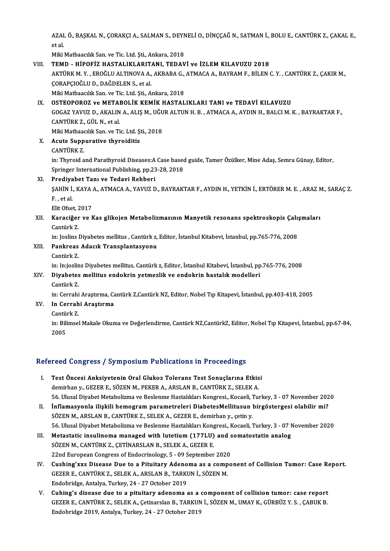AZAL Ö., BAŞKAL N., ÇORAKÇI A., SALMAN S., DEYNELİ O., DİNÇÇAĞ N., SATMAN İ., BOLU E., CANTÜRK Z., ÇAKAL E.,<br>etel AZAI<br>et al.<br>Miki AZAL Ö., BAŞKAL N., ÇORAKÇI A., SALMAN S., DEYN<br>et al.<br>Miki Matbaacılık San. ve Tic. Ltd. Şti., Ankara, 2018<br>TEMD. - HİROEİZ HASTALIYI ARITANI, TEDAV

#### et al.<br>Miki Matbaacılık San. ve Tic. Ltd. Şti., Ankara, 2018<br>VIII. TEMD - HİPOFİZ HASTALIKLARITANI. TEDAVİ ve İZLEM KILAVUZU 2018 Miki Matbaacılık San. ve Tic. Ltd. Şti., Ankara, 2018<br>TEMD - HİPOFİZ HASTALIKLARITANI, TEDAVİ ve İZLEM KILAVUZU 2018<br>AKTÜRK M. Y. , EROĞLU ALTINOVA A., AKBABA G., ATMACA A., BAYRAM F., BİLEN C. Y. , CANTÜRK Z., ÇAKIR M.,<br>C ÇORAPÇIOĞLU D., DAĞDELEN S., et al.<br>Miki Matbaacılık San. ve Tic. Ltd. Şti., Ankara, 2018 AKTÜRK M. Y. , EROĞLU ALTINOVA A., AKBABA G.,<br>ÇORAPÇIOĞLU D., DAĞDELEN S., et al.<br>Miki Matbaacılık San. ve Tic. Ltd. Şti., Ankara, 2018<br>OSTEOBOBOZ ve METABOL İK KEMİK HASTAL

#### IX. OSTEOPOROZ ve METABOLİK KEMİK HASTALIKLARI TANI ve TEDAVİ KILAVUZU Miki Matbaacılık San. ve Tic. Ltd. Şti., Ankara, 2018<br>OSTEOPOROZ ve METABOLİK KEMİK HASTALIKLARI TANI ve TEDAVİ KILAVUZU<br>GOGAZ YAVUZ D., AKALIN A., ALIŞ M., UĞUR ALTUN H. B. , ATMACA A., AYDIN H., BALCI M. K. , BAYRAKTAR F

**OSTEOPOROZ ve META**<br>GOGAZ YAVUZ D., AKALIN<br>CANTÜRK Z., GÜL N., et al.<br>Miki Mathaagulk San, ya Ti GOGAZ YAVUZ D., AKALIN A., ALIŞ M., UĞU<br>CANTÜRK Z., GÜL N., et al.<br>Miki Matbaacılık San. ve Tic. Ltd. Şti., 2018<br>Aguta Sunnungtive thynoiditie

Miki Matbaacılık San. ve Tic. Ltd. Şti., 2018

## CANTÜRK Z., GÜL N., et al.<br>Miki Matbaacılık San. ve Tic. Ltd. Ş<br>X. Acute Suppurative thyroiditis<br>CANTÜRK Z. Acute Suppurative thyroiditis<br>CANTÜRK Z.<br>in: Thyroid and Parathyroid Diseases:A Case based guide, Tamer Özülker, Mine Adaş, Semra Günay, Editor,

CANTÜRK Z.<br>in: Thyroid and Parathyroid Diseases:A Case based<br>Springer International Publishing, pp.23-28, 2018<br>Predivehet Tenu ve Tedevi Behberi in: Thyroid and Parathyroid Diseases:A<br>Springer International Publishing, pp.23<br>XI. Prediyabet Tanı ve Tedavi Rehberi

Springer International Publishing, pp.23-28, 2018<br>Prediyabet Tanı ve Tedavi Rehberi<br>ŞAHİN İ., KAYA A., ATMACA A., YAVUZ D., BAYRAKTAR F., AYDIN H., YETKİN İ., ERTÖRER M. E. , ARAZ M., SARAÇ Z. Prediya<br>ŞAHİN İ.<br>F., et al. SAHIN I., KAYA<br>F. , et al.<br>Elit Ofset, 2017<br>Karasižar ve k

### F. , et al.<br>Elit Ofset, 2017<br>XII. Karaciğer ve Kas glikojen Metabolizmasının Manyetik rezonans spektroskopis Çalışmaları<br>Contürk 7 Elit Ofset, 2<br><mark>Karaciğer</mark><br>Cantürk Z.<br>in: Joslins l Karaciğer ve Kas glikojen Metabolizmasının Manyetik rezonans spektroskopis Çalı;<br>Cantürk Z.<br>in: Joslins Diyabetes mellitus , Cantürk z, Editor, İstanbul Kitabevi, İstanbul, pp.765-776, 2008<br>Pankroas Adasık Transplantasıyon

in: Joslins Diyabetes mellitus, Cantürk z, Editor, İstanbul Kitabevi, İstanbul, pp.765-776, 2008

# Cantürk Z.<br>in: Joslins Diyabetes mellitus , Cantürk z,<br>XIII. Pankreas Adacık Transplantasyonu<br>Cantürk Z.

in: In:joslins Diyabetes mellitus, Cantürk z, Editor, İstanbul Kitabevi, İstanbul, pp.765-776, 2008

## Cantürk Z.<br>in: In:joslins Diyabetes mellitus, Cantürk z, Editor, İstanbul Kitabevi, İstanbul, pp<br>XIV. Diyabetes mellitus endokrin yetmezlik ve endokrin hastalık modelleri<br>Cantürk Z in: In:joslin<br><mark>Diyabetes</mark><br>Cantürk Z.<br>in: Corrobi

Cantürk Z.<br>in: Cerrahi Araştırma, Cantürk Z,Cantürk NZ, Editor, Nobel Tıp Kitapevi, İstanbul, pp.403-418, 2005

- Cantürk Z.<br>in: Cerrahi Araştırma, Cantürk<br>XV. In Cerrahi Araştırma in: Cerrahi<br>I<mark>n Cerrah</mark><br>Cantürk Z.<br>in: Bilimeel
	-

In Cerrahi Araştırma<br>Cantürk Z.<br>in: Bilimsel Makale Okuma ve Değerlendirme, Cantürk NZ,CantürkZ, Editor, Nobel Tıp Kitapevi, İstanbul, pp.67-84, Cantü:<br>in: Bili<br>2005

# <sub>2005</sub><br>Refereed Congress / Symposium Publications in Proceedings

- efereed Congress / Symposium Publications in Proceedings<br>I. Test Öncesi Anksiyetenin Oral Glukoz Tolerans Test Sonuçlarına Etkisi<br>domirban v. CEZER E. SÖZEN M. REKER A. ARSLAN R. CANTÜRK Z. SELEK A I. Test Öncesi Anksiyetenin Oral Glukoz Tolerans Test Sonuçlarına Etkisi<br>demirhan y., GEZER E., SÖZEN M., PEKER A., ARSLAN B., CANTÜRK Z., SELEK A. Test Öncesi Anksiyetenin Oral Glukoz Tolerans Test Sonuçlarına Etkisi<br>demirhan y., GEZER E., SÖZEN M., PEKER A., ARSLAN B., CANTÜRK Z., SELEK A.<br>56. Ulusal Diyabet Metabolizma ve Beslenme Hastalıkları Kongresi., Kocaeli, T demirhan y., GEZER E., SÖZEN M., PEKER A., ARSLAN B., CANTÜRK Z., SELEK A.<br>56. Ulusal Diyabet Metabolizma ve Beslenme Hastalıkları Kongresi., Kocaeli, Turkey, 3 - 07 November 202<br>11. İnflamasyonla ilişkili hemogram paramet
- 56. Ulusal Diyabet Metabolizma ve Beslenme Hastalıkları Kongresi, Kocaeli, 7<br>İnflamasyonla ilişkili hemogram parametreleri DiabetesMellitusun |<br>SÖZEN M., ARSLAN B., CANTÜRK Z., SELEK A., GEZER E., demirhan y., çetin y.<br>56. İnflamasyonla ilişkili hemogram parametreleri DiabetesMellitusun birgöstergesi olabilir mi?<br>SÖZEN M., ARSLAN B., CANTÜRK Z., SELEK A., GEZER E., demirhan y., çetin y.<br>56. Ulusal Diyabet Metabolizma ve Beslenme Hastalıkları
- SÖZEN M., ARSLAN B., CANTÜRK Z., SELEK A., GEZER E., demirhan y., çetin y.<br>56. Ulusal Diyabet Metabolizma ve Beslenme Hastalıkları Kongresi., Kocaeli, Turkey, 3 07 I<br>III. Metastatic insulinoma managed with lutetium (177L 56. Ulusal Diyabet Metabolizma ve Beslenme Hastalıkları Kong<br>Metastatic insulinoma managed with lutetium (177LU)<br>SÖZEN M., CANTÜRK Z., ÇETİNARSLAN B., SELEK A., GEZER E.<br>22nd Europeen Congress of Endesrinalegy E., 99 Septe Metastatic insulinoma managed with lutetium (177LU) and s<br>22Nd European Congress of Endocrinology, 5 - 09 September 2020<br>22nd European Congress of Endocrinology, 5 - 09 September 2020<br>Cushins'uwe Disease Due to a Bituitary SÖZEN M., CANTÜRK Z., ÇETİNARSLAN B., SELEK A., GEZER E.<br>22nd European Congress of Endocrinology, 5 - 09 September 2020<br>IV. Cushing'xxs Disease Due to a Pituitary Adenoma as a component of Collision Tumor: Case Report.<br>CEZ
- 22nd European Congress of Endocrinology, 5 09 September 2020<br>Cushing'xxs Disease Due to a Pituitary Adenoma as a comp<br>GEZER E., CANTÜRK Z., SELEK A., ARSLAN B., TARKUN İ., SÖZEN M. Cushing'xxs Disease Due to a Pituitary Adeno<br>GEZER E., CANTÜRK Z., SELEK A., ARSLAN B., TARKI<br>Endobridge, Antalya, Turkey, 24 - 27 October 2019<br>Cubing's diasase due to e pituitary adenome 1 GEZER E., CANTÜRK Z., SELEK A., ARSLAN B., TARKUN İ., SÖZEN M.<br>Endobridge, Antalya, Turkey, 24 - 27 October 2019<br>V. Cuhing's disease due to a pituitary adenoma as a component of collision tumor: case report
- Endobridge, Antalya, Turkey, 24 27 October 2019<br>Cuhing's disease due to a pituitary adenoma as a component of collision tumor: case report<br>GEZER E., CANTÜRK Z., SELEK A., Çetinarslan B., TARKUN İ., SÖZEN M., UMAY K., GÜR Cuhing's disease due to a pituitary adenoma as a<br>GEZER E., CANTÜRK Z., SELEK A., Çetinarslan B., TARKUN<br>Endobridge 2019, Antalya, Turkey, 24 - 27 October 2019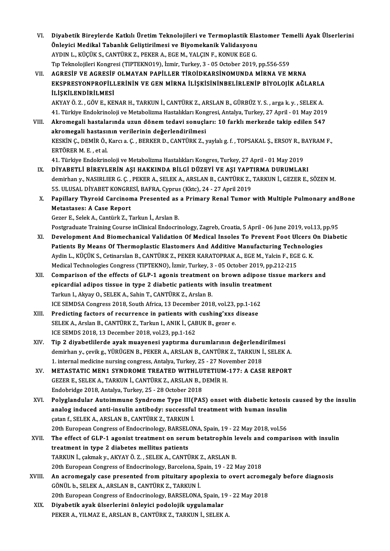- VI. Diyabetik Bireylerde Katkılı Üretim Teknolojileri ve Termoplastik Elastomer Temelli Ayak Ülserlerini<br>Önlevisi Medikel Tebenlık Celistinilmesi ve Biyemekanik Velidesyanı Diyabetik Bireylerde Katkılı Üretim Teknolojileri ve Termoplastik Ela<br>Önleyici Medikal Tabanlık Geliştirilmesi ve Biyomekanik Validasyonu<br>AYDIN L. KÜÇÜK S. CANTÜRK 7. REKER A. ECE M. YALCIN E. KONUK ECE C. Diyabetik Bireylerde Katkılı Üretim Teknolojileri ve Termoplastik Ela<br>Önleyici Medikal Tabanlık Geliştirilmesi ve Biyomekanik Validasyonu<br>AYDIN L., KÜÇÜK S., CANTÜRK Z., PEKER A., EGE M., YALÇIN F., KONUK EGE G.<br>Tın Telmel Önleyici Medikal Tabanlık Geliştirilmesi ve Biyomekanik Validasyonu<br>AYDIN L., KÜÇÜK S., CANTÜRK Z., PEKER A., EGE M., YALÇIN F., KONUK EGE G.<br>Tıp Teknolojileri Kongresi (TIPTEKNO19), İzmir, Turkey, 3 - 05 October 2019, pp. VI . AGRESİF VE AGRESİF OLMAYAN PAPİLLER TİROİDKARSİNOMUNDAMİRNA VEMRNA
- Tıp Teknolojileri Kongresi (TIPTEKNO19), İzmir, Turkey, 3 05 October 2019, pp.556-559<br>AGRESİF VE AGRESİF OLMAYAN PAPİLLER TİROİDKARSİNOMUNDA MİRNA VE MRNA<br>EKSPRESYONPROFİLLERİNİN VE GEN MİRNA İLİŞKİSİNİNBELİRLENİP BİYOLO AGRESIF VE AGRESIF<br>EKSPRESYONPROFILI<br>İLİŞKİLENDİRİLMESİ<br>AKVAVÖ 7. CÖVE KE EKSPRESYONPROFİLLERİNİN VE GEN MİRNA İLİŞKİSİNİNBELİRLENİP BİYOLOJİK AĞLARLA<br>İLİŞKİLENDİRİLMESİ<br>AKYAY Ö. Z. , GÖV E., KENAR H., TARKUN İ., CANTÜRK Z., ARSLAN B., GÜRBÜZ Y. S. , arga k. y. , SELEK A.<br>41. Türkiye Endekrinele

**İLİŞKİLENDİRİLMESİ**<br>AKYAY Ö. Z. , GÖV E., KENAR H., TARKUN İ., CANTÜRK Z., ARSLAN B., GÜRBÜZ Y. S. , arga k. y. , SELEK A.<br>41. Türkiye Endokrinoloji ve Metabolizma Hastalıkları Kongresi, Antalya, Turkey, 27 April - 01 May AKYAY Ö. Z. , GÖV E., KENAR H., TARKUN İ., CANTÜRK Z., ARSLAN B., GÜRBÜZ Y. S. , arga k. y. , SELEK A.<br>41. Türkiye Endokrinoloji ve Metabolizma Hastalıkları Kongresi, Antalya, Turkey, 27 April - 01 May 2019<br>11. Akromegali

- 41. Türkiye Endokrinoloji ve Metabolizma Hastalıkları Kon<sub>i</sub><br>Akromegali hastalarında uzun dönem tedavi sonuçla<br>akromegali hastasının verilerinin değerlendirilmesi<br>krovin canemin ölkersi alan benken pacanıtılmesi VIII. Akromegali hastalarında uzun dönem tedavi sonuçları: 10 farklı merkezde takip edilen 547<br>akromegali hastasının verilerinin değerlendirilmesi<br>KESKİN Ç., DEMİR Ö., Karcı a. Ç. , BERKER D., CANTÜRK Z., yaylalı g. f. , T akromegali hastasının verilerinin değerlendirilmesi 41. Türkiye Endokrinoloji ve Metabolizma Hastalıkları Kongres, Turkey, 27 April - 01 May 2019
	- IX. DİYABETLİ BİREYLERİN AŞI HAKKINDA BİLGİ DÜZEYİ VE AŞI YAPTIRMA DURUMLARI 41. Türkiye Endokrinoloji ve Metabolizma Hastalıkları Kongres, Turkey, 27 April - 01 May 2019<br>DİYABETLİ BİREYLERİN AŞI HAKKINDA BİLGİ DÜZEYİ VE AŞI YAPTIRMA DURUMLARI<br>demirhan y., NASIRLIER G. Ç. , PEKER A., SELEK A., ARSL DİYABETLİ BİREYLERİN AŞI HAKKINDA BİLGİ DÜZEYİ VE AŞI YAPT<br>demirhan y., NASIRLIER G. Ç. , PEKER A., SELEK A., ARSLAN B., CANTÜRK Z.,<br>55. ULUSAL DİYABET KONGRESİ, BAFRA, Cyprus (Kktc), 24 - 27 April 2019<br>Panillaru Thuraid C 55. ULUSAL DİYABET KONGRESİ, BAFRA, Cyprus (Kktc), 24 - 27 April 2019
	- X. Papillary Thyroid Carcinoma Presented as a Primary Renal Tumor with Multiple Pulmonary andBone<br>Metastases: A Case Report

Gezer E.,SelekA.,CantürkZ.,Tarkunİ.,ArslanB.

Postgraduate Training Course inClinical Endocrinology, Zagreb, Croatia, 5 April - 06 June 2019, vol.13, pp.95

- XI. Development And Biomechanical Validation Of Medical Insoles To Prevent Foot Ulcers On Diabetic Postgraduate Training Course inClinical Endocrinology, Zagreb, Croatia, 5 April - 06 June 2019, vol.13, J<br>Development And Biomechanical Validation Of Medical Insoles To Prevent Foot Ulcers On J<br>Patients By Means Of Thermop Development And Biomechanical Validation Of Medical Insoles To Prevent Foot Ulcers (<br>Patients By Means Of Thermoplastic Elastomers And Additive Manufacturing Technolog<br>Aydin L., KÜÇÜK S., Cetinarslan B., CANTÜRK Z., PEKER Patients By Means Of Thermoplastic Elastomers And Additive Manufacturing Technologies<br>Aydin L., KÜÇÜK S., Cetinarslan B., CANTÜRK Z., PEKER KARATOPRAK A., EGE M., Yalcin F., EGI<br>Medical Technologies Congress (TIPTEKNO), İz Aydin L., KÜÇÜK S., Cetinarslan B., CANTÜRK Z., PEKER KARATOPRAK A., EGE M., Yalcin F., EGE G. K.<br>Medical Technologies Congress (TIPTEKNO), İzmir, Turkey, 3 - 05 October 2019, pp.212-215<br>XII. Comparison of the effects of G
- Medical Technologies Congress (TIPTEKNO), İzmir, Turkey, 3 05 October 2019, pp.212-215<br>Comparison of the effects of GLP-1 agonis treatment on brown adipose tissue ma<br>epicardial adipos tissue in type 2 diabetic patients w Comparison of the effects of GLP-1 agonis treatment of epicardial adipos tissue in type 2 diabetic patients with Tarkun I., Akyay O., SELEK A., Sahin T., CANTÜRK Z., Arslan B. epicardial adipos tissue in type 2 diabetic patients with insulin treatm<br>Tarkun I., Akyay O., SELEK A., Sahin T., CANTÜRK Z., Arslan B.<br>ICE SEMDSA Congress 2018, South Africa, 13 December 2018, vol.23, pp.1-162<br>Predisting
- XIII. Predicting factors of recurrence in patients with cushing'xxs disease<br>SELEK A., Arslan B., CANTÜRK Z., Tarkun I., ANIK İ., CABUK B., gezer e. ICE SEMDSA Congress 2018, South Africa, 13 December 2018, vol.23,<br>Predicting factors of recurrence in patients with cushing'xxs<br>SELEK A., Arslan B., CANTÜRK Z., Tarkun I., ANIK İ., ÇABUK B., gezer e.<br>ICE SEMDS 2018, 12 Dec ICE SEMDS 2018, 13 December 2018, vol.23, pp.1-162 SELEK A., Arslan B., CANTÜRK Z., Tarkun I., ANIK İ., ÇABUK B., gezer e.<br>ICE SEMDS 2018, 13 December 2018, vol.23, pp.1-162<br>XIV. Tip 2 diyabetlilerde ayak muayenesi yaptırma durumlarının değerlendirilmesi<br>dominan v. qvili 5
- ICE SEMDS 2018, 13 December 2018, vol.23, pp.1-162<br>Tip 2 diyabetlilerde ayak muayenesi yaptırma durumlarının değerlendirilmesi<br>demirhan y., çevikg., YÜRÜGEN B., PEKER A., ARSLAN B., CANTÜRK Z., TARKUN İ., SELEK A.<br>1. inter Tip 2 diyabetlilerde ayak muayenesi yaptırma durumlarının değerlendi<br>demirhan y., çevik g., YÜRÜGEN B., PEKER A., ARSLAN B., CANTÜRK Z., TARKUN İ<br>1. internal medicine nursing congress, Antalya, Turkey, 25 - 27 November 201 demirhan y., çevik g., YÜRÜGEN B., PEKER A., ARSLAN B., CANTÜRK Z., TARKUN İ., SELEK A.<br>1. internal medicine nursing congress, Antalya, Turkey, 25 - 27 November 2018<br>XV. METASTATIC MEN1 SYNDROME TREATED WITHLUTETIUM-177: A 1. internal medicine nursing congress, Antalya, Turkey, 25 - 27 November 2018
- Endobridge 2018,Antalya,Turkey,25 -28October 2018 GEZER E., SELEK A., TARKUN İ., CANTÜRK Z., ARSLAN B., DEMİR H.<br>Endobridge 2018, Antalya, Turkey, 25 - 28 October 2018<br>XVI. Polyglandular Autoimmune Syndrome Type III(PAS) onset with diabetic ketosis caused by the insulin
- Endobridge 2018, Antalya, Turkey, 25 28 October 2018<br>Polyglandular Autoimmune Syndrome Type III(PAS) onset with diabetic ketosis<br>analog induced anti-insulin antibody: successful treatment with human insulin<br>estan f. SELE analog induced anti-insulin antibody: successful treatment with human insulin catan f., SELEK A., ARSLAN B., CANTÜRK Z., TARKUN İ. analog induced anti-insulin antibody: successful treatment with human insulin<br>catan f., SELEK A., ARSLAN B., CANTÜRK Z., TARKUN İ.<br>20th European Congress of Endocrinology, BARSELONA, Spain, 19 - 22 May 2018, vol.56<br>The eff catan f., SELEK A., ARSLAN B., CANTÜRK Z., TARKUN İ.<br>20th European Congress of Endocrinology, BARSELONA, Spain, 19 - 22 May 2018, vol.56<br>XVII. The effect of GLP-1 agonist treatment on serum betatrophin levels and compa
- 20th European Congress of Endocrinology, BARSEL<br>The effect of GLP-1 agonist treatment on seru<br>treatment in type 2 diabetes mellitus patients<br>TARKUN i. colmak v. AKYAYÖ 7 SELEKA CANTI The effect of GLP-1 agonist treatment on serum betatrophin **le**<br>treatment in type 2 diabetes mellitus patients<br>TARKUN İ., çakmak y., AKYAY Ö. Z. , SELEK A., CANTÜRK Z., ARSLAN B.<br>20th European Congress of Endesrinelegy, Ba treatment in type 2 diabetes mellitus patients<br>TARKUN İ., çakmak y., AKYAY Ö. Z. , SELEK A., CANTÜRK Z., ARSLAN B.<br>20th European Congress of Endocrinology, Barcelona, Spain, 19 - 22 May 2018 TARKUN İ., çakmak y., AKYAY Ö. Z. , SELEK A., CANTÜRK Z., ARSLAN B.<br>20th European Congress of Endocrinology, Barcelona, Spain, 19 - 22 May 2018<br>XVIII. An acromegaly case presented from pituitary apoplexia to overt acromega
- GÖNÜL b., SELEK A., ARSLAN B., CANTÜRK Z., TARKUN İ.<br>20th European Congress of Endocrinology, BARSELONA, Spain, 19 22 May 2018 An acromegaly case presented from pituitary apoplexia to overt acrome;<br>GÖNÜL b., SELEK A., ARSLAN B., CANTÜRK Z., TARKUN İ.<br>20th European Congress of Endocrinology, BARSELONA, Spain, 19 - 22 May 2018<br>Divebetik evek üleerle
- XIX. Diyabetik ayak ülserlerini önleyici podolojik uygulamalar PEKER A., YILMAZ E., ARSLAN B., CANTÜRK Z., TARKUN İ., SELEK A.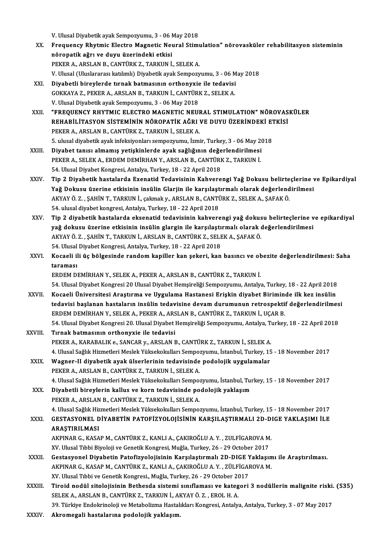V.UlusalDiyabetikayakSempozyumu,3 -06May2018

- V. Ulusal Diyabetik ayak Sempozyumu, 3 06 May 2018<br>XX. Frequency Rhytmic Electro Magnetic Neural Stimulation" nörovasküler rehabilitasyon sisteminin<br>Rönapatik ağrı ve duyu ürenindeki etkisi V. Ulusal Diyabetik ayak Sempozyumu, 3 - 06 M<br>Frequency Rhytmic Electro Magnetic Neu<br>nöropatik ağrı ve duyu üzerindeki etkisi<br>PEKER A. ARSLAN B. CANTÜRK 7. TARKIN İ Frequency Rhytmic Electro Magnetic Neural Stim<mark>ı</mark><br>nöropatik ağrı ve duyu üzerindeki etkisi<br>PEKER A., ARSLAN B., CANTÜRK Z., TARKUN İ., SELEK A.<br>V. Ulusel (Uluslararası katlımlı) Diyebetik sırılı Semnery nöropatik ağrı ve duyu üzerindeki etkisi<br>PEKER A., ARSLAN B., CANTÜRK Z., TARKUN İ., SELEK A.<br>V. Ulusal (Uluslararası katılımlı) Diyabetik ayak Sempozyumu, 3 - 06 May 2018
- XXI. Diyabetli bireylerde tırnak batmasının orthonyxie ile tedavisi V. Ulusal (Uluslararası katılımlı) Diyabetik ayak Sempozyumu, 3 - 06 M<br>Diyabetli bireylerde tırnak batmasının orthonyxie ile tedavisi<br>GOKKAYA Z., PEKER A., ARSLAN B., TARKUN İ., CANTÜRK Z., SELEK A.<br>V. Ulusal Diyabetik aya Diyabetli bireylerde tırnak batmasının orthonyxie<br>GOKKAYA Z., PEKER A., ARSLAN B., TARKUN İ., CANTÜRI<br>V. Ulusal Diyabetik ayak Sempozyumu, 3 - 06 May 2018<br>"EREQUENCY RHYTMIC ELECTRO MACNETIC NEU! GOKKAYA Z., PEKER A., ARSLAN B., TARKUN İ., CANTÜRK Z., SELEK A.<br>V. Ulusal Diyabetik ayak Sempozyumu, 3 - 06 May 2018<br>XXII. — "FREQUENCY RHYTMIC ELECTRO MAGNETIC NEURAL STIMULATION" NÖROVASKÜLER<br>REHARJI İTASYON SİSTEMININ
- V. Ulusal Diyabetik ayak Sempozyumu, 3 06 May 2018<br>"FREQUENCY RHYTMIC ELECTRO MAGNETIC NEURAL STIMULATION" NÖROVAS<br>REHABİLİTASYON SİSTEMİNİN NÖROPATİK AĞRI VE DUYU ÜZERİNDEKİ ETKİSİ<br>REKER A, ARŞI AN R. CANTÜRK 7. TARKIN REHABİLİTASYON SİSTEMİNİN NÖROPATİK AĞRI VE DUYU ÜZERİNDEKİ ETKİSİ<br>PEKER A., ARSLAN B., CANTÜRK Z., TARKUN İ., SELEK A. REHABİLİTASYON SİSTEMİNİN NÖROPATİK AĞRI VE DUYU ÜZERİNDEKİ ET<br>PEKER A., ARSLAN B., CANTÜRK Z., TARKUN İ., SELEK A.<br>5. ulusal diyabetik ayak infeksiyonları sempozyumu, İzmir, Turkey, 3 - 06 May 2018<br>Diyabet tanısı almamıs PEKER A., ARSLAN B., CANTÜRK Z., TARKUN İ., SELEK A.<br>5. ulusal diyabetik ayak infeksiyonları sempozyumu, İzmir, Turkey, 3 - 06 May 20<br>XXIII. Diyabet tanısı almamış yetişkinlerde ayak sağlığının değerlendirilmesi<br>PEKER A. S
- 5. ulusal diyabetik ayak infeksiyonları sempozyumu, İzmir, Turkey, 3 06 May 2<br>Diyabet tanısı almamış yetişkinlerde ayak sağlığının değerlendirilmesi<br>PEKER A., SELEK A., ERDEM DEMİRHAN Y., ARSLAN B., CANTÜRK Z., TARKUN İ. Diyabet tanısı almamış yetişkinlerde ayak sağlığının değe<br>PEKER A., SELEK A., ERDEM DEMİRHAN Y., ARSLAN B., CANTÜRI<br>54. Ulusal Diyabet Kongresi, Antalya, Turkey, 18 - 22 April 2018<br>Tin 2. Diyabetik bastalarda Evenetid Tede
- PEKER A., SELEK A., ERDEM DEMİRHAN Y., ARSLAN B., CANTÜRK Z., TARKUN İ.<br>54. Ulusal Diyabet Kongresi, Antalya, Turkey, 18 22 April 2018<br>XXIV. Tip 2 Diyabetik hastalarda Exenatid Tedavisinin Kahverengi Yağ Dokusu belir 54. Ulusal Diyabet Kongresi, Antalya, Turkey, 18 - 22 April 2018<br>Tip 2 Diyabetik hastalarda Exenatid Tedavisinin Kahverengi Yağ Dokusu belirteçlerine v<br>Yağ Dokusu üzerine etkisinin insülin Glarjin ile karşılaştırmalı olara Tip 2 Diyabetik hastalarda Exenatid Tedavisinin Kahverengi Yağ Dokusu belirte<br>Yağ Dokusu üzerine etkisinin insülin Glarjin ile karşılaştırmalı olarak değerlend<br>AKYAY Ö. Z. , ŞAHİN T., TARKUN İ., çakmak y., ARSLAN B., CANTÜ Yağ Dokusu üzerine etkisinin insülin Glarjin ile karşılaştırmalı olarak değerlendirilmesi<br>AKYAY Ö. Z. , ŞAHİN T., TARKUN İ., çakmak y., ARSLAN B., CANTÜRK Z., SELEK A., ŞAFAK Ö.<br>54. ulusal diyabet kongresi, Antalya, Turkey AKYAY Ö. Z. , ŞAHİN T., TARKUN İ., çakmak y., ARSLAN B., CANTÜRK Z., SELEK A., ŞAFAK Ö.<br>54. ulusal diyabeti kongresi, Antalya, Turkey, 18 - 22 April 2018<br>XXV. Tip 2 diyabetik hastalarda eksenatid tedavisinin kahverengi
- 54. ulusal diyabet kongresi, Antalya, Turkey, 18 22 April 2018<br>Tip 2 diyabetik hastalarda eksenatid tedavisinin kahverengi yağ dokusu belirteçlerine v<br>yağ dokusu üzerine etkisinin insülin glargin ile karşılaştırmalı olar Tip 2 diyabetik hastalarda eksenatid tedavisinin kahverengi yağ dokus<br>yağ dokusu üzerine etkisinin insülin glargin ile karşılaştırmalı olarak (<br>AKYAY Ö. Z. , ŞAHİN T., TARKUN İ., ARSLAN B., CANTÜRK Z., SELEK A., ŞAFAK Ö.<br>5 yağ dokusu üzerine etkisinin insülin glargin ile karşılaştı<br>AKYAY Ö. Z. , ŞAHİN T., TARKUN İ., ARSLAN B., CANTÜRK Z., SELI<br>54. Ulusal Diyabet Kongresi, Antalya, Turkey, 18 - 22 April 2018<br>Kosaali ili üs bölgesinde randam k AKYAY Ö. Z. , ŞAHİN T., TARKUN İ., ARSLAN B., CANTÜRK Z., SELEK A., ŞAFAK Ö.<br>54. Ulusal Diyabet Kongresi, Antalya, Turkey, 18 - 22 April 2018<br>XXVI. Kocaeli ili üç bölgesinde random kapiller kan şekeri, kan basıncı ve o
- 54. Ulusal<br>Kocaeli il<br>taraması<br>EPDEM DI Kocaeli ili üç bölgesinde random kapiller kan şekeri, kan basıncı ve oltaraması<br>taraması<br>ERDEM DEMİRHAN Y., SELEK A., PEKER A., ARSLAN B., CANTÜRK Z., TARKUN İ.<br>54 Hlucel Divebet Kongresi 20 Hlucel Divebet Hemsineliği Somn taraması<br>ERDEM DEMİRHAN Y., SELEK A., PEKER A., ARSLAN B., CANTÜRK Z., TARKUN İ.<br>54. Ulusal Diyabet Kongresi 20 Ulusal Diyabet Hemşireliği Sempozyumu, Antalya, Turkey, 18 - 22 April 2018<br>Kosaali Üniversitesi Arastırma ve U

- ERDEM DEMİRHAN Y., SELEK A., PEKER A., ARSLAN B., CANTÜRK Z., TARKUN İ.<br>54. Ulusal Diyabet Kongresi 20 Ulusal Diyabet Hemşireliği Sempozyumu, Antalya, Turkey, 18 22 April 2018<br>XXVII. Kocaeli Üniversitesi Araştırma ve Uyg 54. Ulusal Diyabet Kongresi 20 Ulusal Diyabet Hemşireliği Sempozyumu, Antalya, Turkey, 18 - 22 April 2018<br>Kocaeli Üniversitesi Araştırma ve Uygulama Hastanesi Erişkin diyabet Biriminde ilk kez insülin<br>tedavisi başlanan has Kocaeli Üniversitesi Araştırma ve Uygulama Hastanesi Erişkin diyabet Birimin tedavisi başlanan hastaların insülin tedavisine devam durumunun retrospekti:<br>ERDEM DEMİRHAN Y., SELEK A., PEKER A., ARSLAN B., CANTÜRK Z., TARKUN tedavisi başlanan hastaların insülin tedavisine devam durumunun retrospektif değerlendirilmes<br>ERDEM DEMİRHAN Y., SELEK A., PEKER A., ARSLAN B., CANTÜRK Z., TARKUN İ., UÇAR B.<br>54. Ulusal Diyabet Kongresi 20. Ulusal Diyabet ERDEM DEMİRHAN Y., SELEK A., PEKER A., ARSLAN B., CANTÜRK Z., TARKUN İ., UÇAR B.<br>54. Ulusal Diyabet Kongresi 20. Ulusal Diyabet Hemşireliği Sempozyumu, Antalya, Turkey, 18 - 22 April 2018<br>XXVIII. Tırnak batmasının orth
- PEKER A., KARABALIK e., SANCAR y., ARSLAN B., CANTÜRK Z., TARKUN İ., SELEK A. 4. Ulusal Sağlık Hizmetleri Meslek Yüksekokulları Sempozyumu, İstanbul, Turkey, 15 - 18 November 2017 PEKER A., KARABALIK e., SANCAR y., ARSLAN B., CANTÜRK Z., TARKUN İ., SELEK A.<br>4. Ulusal Sağlık Hizmetleri Meslek Yüksekokulları Sempozyumu, İstanbul, Turkey, 15<br>XXIX. Wagner-II diyabetik ayak ülserlerinin tedavisinde podol
- 4. Ulusal Sağlık Hizmetleri Meslek Yüksekokulları Sempo:<br>Wagner-II diyabetik ayak ülserlerinin tedavisinde<br>PEKER A., ARSLAN B., CANTÜRK Z., TARKUN İ., SELEK A.<br>4. Ulusal Sağlık Hirmetleri Meslek Yüksekokulları Semper 19 PEKER A., ARSLAN B., CANTÜRK Z., TARKUN İ., SELEK A.<br>4. Ulusal Sağlık Hizmetleri Meslek Yüksekokulları Sempozyumu, İstanbul, Turkey, 15 - 18 November 2017 PEKER A., ARSLAN B., CANTÜRK Z., TARKUN İ., SELEK A.<br>4. Ulusal Sağlık Hizmetleri Meslek Yüksekokulları Sempozyumu, İstanbul, Turk<br>XXX. Diyabetli bireylerin kallus ve korn tedavisinde podolojik yaklaşım<br>PEKER A. ARSLAN B. C
- 4. Ulusal Sağlık Hizmetleri Meslek Yüksekokulları Sempo:<br>Diyabetli bireylerin kallus ve korn tedavisinde po<br>PEKER A., ARSLAN B., CANTÜRK Z., TARKUN İ., SELEK A.<br>4. Ulusal Sağlık Hirmetleri Meslek Yüksekekulları Sempet 19 PEKER A., ARSLAN B., CANTÜRK Z., TARKUN İ., SELEK A.<br>4. Ulusal Sağlık Hizmetleri Meslek Yüksekokulları Sempozyumu, İstanbul, Turkey, 15 - 18 November 2017
- PEKER A., ARSLAN B., CANTÜRK Z., TARKUN İ., SELEK A.<br>4. Ulusal Sağlık Hizmetleri Meslek Yüksekokulları Sempozyumu, İstanbul, Turkey, 15 18 November 2017<br>8. XXXI. GESTASYONEL DİYABETİN PATOFİZYOLOJİSİNİN KARŞILAŞTIRMA 4. Ulusal Sağlık Hiz<br>GESTASYONEL D<br>ARAŞTIRILMASI<br>AKRINAR G. KASA GESTASYONEL DİYABETİN PATOFİZYOLOJİSİNİN KARŞILAŞTIRMALI 2D-D.<br>ARAŞTIRILMASI<br>AKPINAR G., KASAP M., CANTÜRK Z., KANLI A., ÇAKIROĞLU A. Y. , ZULFİGAROVA M.<br>YV. Ulucal Tıbbi Biyolaji ve Canstik Kanspesi, Muğla Turkay, 26 - 29 ARAŞTIRILMASI<br>AKPINAR G., KASAP M., CANTÜRK Z., KANLI A., ÇAKIROĞLU A. Y. , ZULFİGAROVA M.<br>XV. Ulusal Tıbbi Biyoloji ve Genetik Kongresi, Muğla, Turkey, 26 - 29 October 2017
	-

- AKPINAR G., KASAP M., CANTÜRK Z., KANLI A., ÇAKIROĞLU A. Y. , ZULFİGAROVA M.<br>XV. Ulusal Tıbbi Biyoloji ve Genetik Kongresi, Muğla, Turkey, 26 29 October 2017<br>XXXII. Gestasyonel Diyabetin Patofizyolojisinin Karşılaştırmal XV. Ulusal Tıbbi Biyoloji ve Genetik Kongresi, Muğla, Turkey, 26 - 29 October 2017<br>Gestasyonel Diyabetin Patofizyolojisinin Karşılaştırmalı 2D-DIGE Yaklaşım<br>AKPINAR G., KASAP M., CANTÜRK Z., KANLI A., ÇAKIROĞLU A.Y. , ZÜLF Gestasyonel Diyabetin Patofizyolojisinin Karşılaştırmalı 2D-DIGE Y<br>AKPINAR G., KASAP M., CANTÜRK Z., KANLI A., ÇAKIROĞLU A. Y. , ZÜLFİGAI<br>XV. Ulusal Tıbbi ve Genetik Kongresi., Muğla, Turkey, 26 - 29 October 2017<br>Tinaid no AKPINAR G., KASAP M., CANTÜRK Z., KANLI A., ÇAKIROĞLU A. Y. , ZÜLFİGAROVA M.<br>XV. Ulusal Tıbbi ve Genetik Kongresi., Muğla, Turkey, 26 - 29 October 2017<br>XXXIII. Tiroid nodül sitolojisinin Bethesda sistemi sınıflaması ve
- XV. Ulusal Tıbbi ve Genetik Kongresi., Muğla, Turkey, 26 29 October 20<br>Tiroid nodül sitolojisinin Bethesda sistemi sınıflaması ve kateg<br>SELEK A., ARSLAN B., CANTÜRK Z., TARKUN İ., AKYAY Ö. Z. , EROL H. A.<br>20 Türkiye Ende Tiroid nodül sitolojisinin Bethesda sistemi sınıflaması ve kategori 3 nodüllerin malignite riski.<br>SELEK A., ARSLAN B., CANTÜRK Z., TARKUN İ., AKYAY Ö. Z. , EROL H. A.<br>39. Türkiye Endokrinoloji ve Metabolizma Hastalıkları K SELEK A., ARSLAN B., CANTÜRK Z., TARKUN İ., AKYAY Ö. Z. , EROL H. A.<br>39. Türkiye Endokrinoloji ve Metabolizma Hastalıkları Kongresi, Antalya, Antalya, Turkey, 3 - 07 May 2017<br>XXXIV. Akromegali hastalarına podolojik yak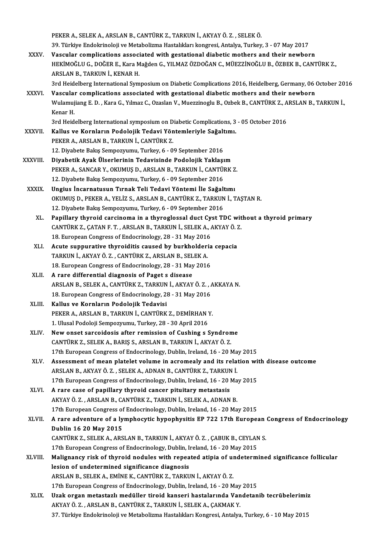PEKERA.,SELEKA.,ARSLANB.,CANTÜRKZ.,TARKUNİ.,AKYAYÖ.Z. ,SELEKÖ. 39. Türkiye Endokrinoloji ve Metabolizma Hastalıkları kongresi, Antalya, Turkey, 3 - 07 May 2017 PEKER A., SELEK A., ARSLAN B., CANTÜRK Z., TARKUN İ., AKYAY Ö. Z. , SELEK Ö.<br>39. Türkiye Endokrinoloji ve Metabolizma Hastalıkları kongresi, Antalya, Turkey, 3 - 07 May 2017<br>XXXV. Vascular complications associated with

- HEKİMOĞLU G., DOĞER E., Kara Mağden G., YILMAZ ÖZDOĞAN C., MÜEZZİNOĞLU B., ÖZBEK B., CANTÜRK Z.,<br>ARSLAN B., TARKUN İ., KENAR H. Vascular complications associ<br>HEKİMOĞLU G., DOĞER E., Kara M<br>ARSLAN B., TARKUN İ., KENAR H.<br><sup>2rd Hoidelberg International Sum</sup> HEKİMOĞLU G., DOĞER E., Kara Mağden G., YILMAZ ÖZDOĞAN C., MÜEZZİNOĞLU B., ÖZBEK B., CANTÜRK Z.,<br>ARSLAN B., TARKUN İ., KENAR H.<br>3rd Heidelberg International Symposium on Diabetic Complications 2016, Heidelberg, Germany, 06 ARSLAN B., TARKUN İ., KENAR H.<br>3rd Heidelberg International Symposium on Diabetic Complications 2016, Heidelberg, Germany, 06 (XXXVI. Vascular complications associated with gestational diabetic mothers and their newborn
	-
- 3rd Heidelberg International Symposium on Diabetic Complications 2016, Heidelberg, Germany, 06 October 20<br>Vascular complications associated with gestational diabetic mothers and their newborn<br>Wulamujiang E. D. , Kara G., Y Vascular complications associated with gestational diabetic mothers and their newborn<br>Wulamujiang E. D. , Kara G., Yılmaz C., Ozaslan V., Muezzinoglu B., Ozbek B., CANTÜRK Z., ARSLAN B., TARKUN İ.,<br>Kenar H. Wulamujiang E. D. , Kara G., Yılmaz C., Ozaslan V., Muezzinoglu B., Ozbek B., CANTÜRK Z., A<br>Kenar H.<br>3rd Heidelberg International symposium on Diabetic Complications, 3 - 05 October 2016<br>Kallus ve Kernların Bodolojik Tedav Kenar H.<br>3rd Heidelberg International symposium on Diabetic Complications, 3<br>XXXVII. Kallus ve Kornların Podolojik Tedavi Yöntemleriyle Sağaltımı.<br>REKER A ARSLAN B. TARKIN İ. CANTÜRK 7

- 3rd Heidelberg International symposium on D<br>Kallus ve Kornların Podolojik Tedavi Yön<br>PEKER A., ARSLAN B., TARKUN İ., CANTÜRK Z.<br>12. Divebete Bakıs Samparınımı: Turkay é. 0 Kallus ve Kornların Podolojik Tedavi Yöntemleriyle Sağaltımı.<br>12. Diyabete Bakış Sempozyumu, Turkey, 6 - 09 September 2016
- XXXVIII. Diyabetik Ayak Ülserlerinin Tedavisinde Podolojik Yaklaşım PEKER A., SANCAR Y., OKUMUŞ D., ARSLAN B., TARKUN İ., CANTÜRK Z. Diyabetik Ayak Ülserlerinin Tedavisinde Podolojik Yaklaşı<br>PEKER A., SANCAR Y., OKUMUŞ D., ARSLAN B., TARKUN İ., CANTÜl<br>12. Diyabete Bakış Sempozyumu, Turkey, 6 - 09 September 2016<br>Ungiya İncannatyayın Tunak Tali Tadavi Yön PEKER A., SANCAR Y., OKUMUŞ D., ARSLAN B., TARKUN İ., CANTÜRK Z<br>12. Diyabete Bakış Sempozyumu, Turkey, 6 - 09 September 2016<br>XXXIX. Ungius İncarnatusun Tırnak Teli Tedavi Yöntemi İle Sağaltımı<br>OKUMUS D. BEKER A. YELİZ S. A
	- 12. Diyabete Bakış Sempozyumu, Turkey, 6 09 September 2016<br>Ungius İncarnatusun Tırnak Teli Tedavi Yöntemi İle Sağaltımı<br>OKUMUŞ D., PEKER A., YELİZ S., ARSLAN B., CANTÜRK Z., TARKUN İ., TAŞTAN R.<br>12. Diyabete Bakıs Semper Ungius İncarnatusun Tırnak Teli Tedavi Yöntemi İle Sağaltımı<br>OKUMUŞ D., PEKER A., YELİZ S., ARSLAN B., CANTÜRK Z., TARKUN İ., TAŞTAN R.<br>12. Diyabete Bakış Sempozyumu, Turkey, 6 - 09 September 2016 OKUMUŞ D., PEKER A., YELİZ S., ARSLAN B., CANTÜRK Z., TARKUN İ., TAŞTAN R.<br>12. Diyabete Bakış Sempozyumu, Turkey, 6 - 09 September 2016<br>XL. Papillary thyroid carcinoma in a thyroglossal duct Cyst TDC without a thyroid prim
		- 12. Diyabete Bakış Sempozyumu, Turkey, 6 09 September 2016<br>Papillary thyroid carcinoma in a thyroglossal duct Cyst TDC wit<br>CANTÜRK Z., ÇATAN F. T., ARSLAN B., TARKUN İ., SELEK A., AKYAY Ö. Z.<br>18. European Congress of End Papillary thyroid carcinoma in a thyroglossal duct Cy<br>CANTÜRK Z., ÇATAN F. T. , ARSLAN B., TARKUN İ., SELEK A., *I*<br>18. European Congress of Endocrinology, 28 - 31 May 2016<br>Agute sunnurative thyroiditic saused by burkholde CANTÜRK Z., ÇATAN F. T., ARSLAN B., TARKUN İ., SELEK A., AKYAY Ö. 2<br>18. European Congress of Endocrinology, 28 - 31 May 2016<br>XLI. Acute suppurative thyroiditis caused by burkholderia cepacia<br>TARKUN İ. AKYAY Ö. Z., CANTÜRK
		- 18. European Congress of Endocrinology, 28 31 May 2016<br>Acute suppurative thyroiditis caused by burkholderi<br>TARKUN İ., AKYAY Ö. Z., CANTÜRK Z., ARSLAN B., SELEK A. Acute suppurative thyroiditis caused by burkholderia<br>TARKUN İ., AKYAY Ö. Z. , CANTÜRK Z., ARSLAN B., SELEK A.<br>18. European Congress of Endocrinology, 28 - 31 May 2016<br>A rare differential diagnosis of Beget s disease. TARKUN İ., AKYAY Ö. Z. , CANTÜRK Z., ARSLAN B., SELEK A.<br>18. European Congress of Endocrinology, 28 - 31 May 2016<br>XLII. A rare differential diagnosis of Paget s disease
	- 18. European Congress of Endocrinology, 28 31 May 2016<br>A rare differential diagnosis of Paget s disease<br>ARSLAN B., SELEK A., CANTÜRK Z., TARKUN İ., AKYAY Ö. Z. , AKKAYA N.<br>18. European Congress of Endosrinology, 28 21 A rare differential diagnosis of Paget s disease<br>ARSLAN B., SELEK A., CANTÜRK Z., TARKUN İ., AKYAY Ö. Z. , /<br>18. European Congress of Endocrinology, 28 - 31 May 2016<br>Kallus ve Kernların Bodalejik Tedavisi 18. European Congress of Endocrinology, 28 - 31 May 2016<br>XLIII. Kallus ve Kornların Podolojik Tedavisi
	- 18. European Congress of Endocrinology, 28 31 May 2016<br>Kallus ve Kornların Podolojik Tedavisi<br>PEKER A., ARSLAN B., TARKUN İ., CANTÜRK Z., DEMİRHAN Y.<br>1. Ulusel Pedeleji Semperrumu, Turkey, 28 20 April 2016 Kallus ve Kornların Podolojik Tedavisi<br>PEKER A., ARSLAN B., TARKUN İ., CANTÜRK Z., DEMİRHAN Y<br>1. Ulusal Podoloji Sempozyumu, Turkey, 28 - 30 April 2016<br>Navy anest sansaidasis aftar ramissian af Gushing a S PEKER A., ARSLAN B., TARKUN İ., CANTÜRK Z., DEMİRHAN Y.<br>1. Ulusal Podoloji Sempozyumu, Turkey, 28 - 30 April 2016<br>XLIV. New onset sarcoidosis after remission of Cushing s Syndrome
	- 1. Ulusal Podoloji Sempozyumu, Turkey, 28 30 April 2016<br>New onset sarcoidosis after remission of Cushing s Syndron<br>CANTÜRK Z., SELEK A., BARIŞ S., ARSLAN B., TARKUN İ., AKYAY Ö. Z.<br>17th European Congress of Endesvinelegy CANTÜRK Z., SELEK A., BARIŞ S., ARSLAN B., TARKUN İ., AKYAY Ö. Z.<br>17th European Congress of Endocrinology, Dublin, Ireland, 16 - 20 May 2015 CANTÜRK Z., SELEK A., BARIŞ S., ARSLAN B., TARKUN İ., AKYAY Ö. Z.<br>17th European Congress of Endocrinology, Dublin, Ireland, 16 - 20 May 2015<br>XLV. Assessment of mean platelet volume in acromealy and its relation with diseas
	- 17th European Congress of Endocrinology, Dublin, Ireland, 16 20 Ma<br>Assessment of mean platelet volume in acromealy and its rela<br>ARSLAN B., AKYAY Ö. Z. , SELEK A., ADNAN B., CANTÜRK Z., TARKUN İ.<br>17th European Congress of Assessment of mean platelet volume in acromealy and its relation wi<br>ARSLAN B., AKYAY Ö. Z. , SELEK A., ADNAN B., CANTÜRK Z., TARKUN İ.<br>17th European Congress of Endocrinology, Dublin, Ireland, 16 - 20 May 2015<br>A rare sase ARSLAN B., AKYAY Ö. Z. , SELEK A., ADNAN B., CANTÜRK Z., TARKUN İ.<br>17th European Congress of Endocrinology, Dublin, Ireland, 16 - 20 May 2015<br>XLVI. A rare case of papillary thyroid cancer pituitary metastasis
	- 17th European Congress of Endocrinology, Dublin, Ireland, 16 20 Ma<br>A rare case of papillary thyroid cancer pituitary metastasis<br>AKYAY Ö. Z. , ARSLAN B., CANTÜRK Z., TARKUN İ., SELEK A., ADNAN B.<br>17th European Congress of A rare case of papillary thyroid cancer pituitary metastasis<br>AKYAY Ö. Z. , ARSLAN B., CANTÜRK Z., TARKUN İ., SELEK A., ADNAN B.<br>17th European Congress of Endocrinology, Dublin, Ireland, 16 - 20 May 2015<br>A rare adventure of

AKYAY Ö. Z. , ARSLAN B., CANTÜRK Z., TARKUN İ., SELEK A., ADNAN B.<br>17th European Congress of Endocrinology, Dublin, Ireland, 16 - 20 May 2015<br>XLVII. A rare adventure of a lymphocytic hypophysitis EP 722 17th European C 17th European Congress of<br>A rare adventure of a ly<br>Dublin 16 20 May 2015 A rare adventure of a lymphocytic hypophysitis EP 722 17th European<br>Dublin 16 20 May 2015<br>CANTÜRK Z., SELEK A., ARSLAN B., TARKUN İ., AKYAY Ö. Z. , ÇABUK B., CEYLAN S.<br>17th European Congress of Endesripelegy, Dublin Irelan Dublin 16 20 May 2015<br>CANTÜRK Z., SELEK A., ARSLAN B., TARKUN İ., AKYAY Ö. Z., ÇABUK B., CEYLAN S. 17th European Congress of Endocrinology, Dublin, Ireland, 16 - 20 May 2015

- XLVIII. Malignancy risk of thyroid nodules with repeated atipia of undetermined significance follicular<br>lesion of undetermined significance diagnosis ARSLANB.,SELEKA.,EMİNEK.,CANTÜRKZ.,TARKUNİ.,AKYAYÖ.Z. lesion of undetermined significance diagnosis<br>ARSLAN B., SELEK A., EMINE K., CANTÜRK Z., TARKUN İ., AKYAY Ö. Z.<br>17th European Congress of Endocrinology, Dublin, Ireland, 16 - 20 May 2015<br>Urak engan metastarlı medüller tine ARSLAN B., SELEK A., EMİNE K., CANTÜRK Z., TARKUN İ., AKYAY Ö. Z.<br>17th European Congress of Endocrinology, Dublin, Ireland, 16 - 20 May 2015<br>XLIX. Uzak organ metastazlı medüller tiroid kanseri hastalarında Vandetanib tecrü
- 17th European Congress of Endocrinology, Dublin, Ireland, 16 20 May<br>Uzak organ metastazlı medüller tiroid kanseri hastalarında Van<br>AKYAY Ö. Z. , ARSLAN B., CANTÜRK Z., TARKUN İ., SELEK A., ÇAKMAK Y.<br>27. Türkiye Endelmine Uzak organ metastazlı medüller tiroid kanseri hastalarında Vandetanib tecrübelerimi:<br>AKYAY Ö. Z. , ARSLAN B., CANTÜRK Z., TARKUN İ., SELEK A., ÇAKMAK Y.<br>37. Türkiye Endokrinoloji ve Metabolizma Hastalıkları Kongresi, Antal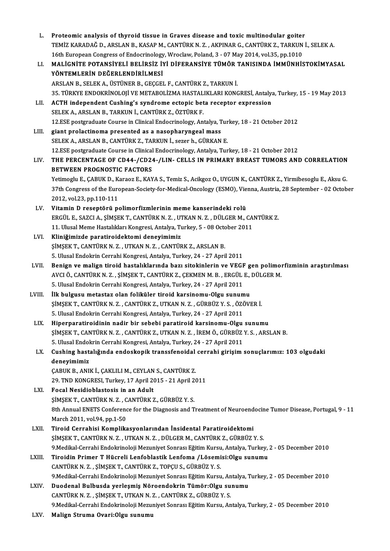| L.                                 | Proteomic analysis of thyroid tissue in Graves disease and toxic multinodular goiter                                                      |
|------------------------------------|-------------------------------------------------------------------------------------------------------------------------------------------|
|                                    | TEMİZ KARADAĞ D., ARSLAN B., KASAP M., CANTÜRK N. Z. , AKPINAR G., CANTÜRK Z., TARKUN İ., SELEK A.                                        |
|                                    | 16th European Congress of Endocrinology, Wroclaw, Poland, 3 - 07 May 2014, vol.35, pp.1010                                                |
| LI.                                | MALIGNITE POTANSIYELI BELIRSIZ IYI DIFERANSIYE TÜMÖR TANISINDA İMMÜNHISTOKIMYASAL                                                         |
|                                    | YÖNTEMLERIN DEĞERLENDIRILMESI                                                                                                             |
|                                    | ARSLAN B., SELEK A., ÜSTÜNER B., GEÇGEL F., CANTÜRK Z., TARKUN İ.                                                                         |
|                                    | 35. TÜRKYE ENDOKRİNOLOJİ VE METABOLİZMA HASTALIKLARI KONGRESİ, Antalya, Turkey, 15 - 19 May 2013                                          |
| LII.                               | ACTH independent Cushing's syndrome ectopic beta receptor expression                                                                      |
|                                    | SELEK A., ARSLAN B., TARKUN İ., CANTÜRK Z., ÖZTÜRK F.                                                                                     |
|                                    | 12.ESE postgraduate Course in Clinical Endocrinology, Antalya, Turkey, 18 - 21 October 2012                                               |
| LIII.                              | giant prolactinoma presented as a nasopharyngeal mass                                                                                     |
|                                    | SELEK A., ARSLAN B., CANTÜRK Z., TARKUN İ., sezer h., GÜRKAN E.                                                                           |
|                                    | 12.ESE postgraduate Course in Clinical Endocrinology, Antalya, Turkey, 18 - 21 October 2012                                               |
| LIV.                               | THE PERCENTAGE OF CD44-/CD24-/LIN- CELLS IN PRIMARY BREAST TUMORS AND CORRELATION                                                         |
|                                    | <b>BETWEEN PROGNOSTIC FACTORS</b>                                                                                                         |
|                                    | Yetimoglu E., ÇABUK D., Karaoz E., KAYA S., Temiz S., Acikgoz O., UYGUN K., CANTÜRK Z., Yirmibesoglu E., Aksu G.                          |
|                                    | 37th Congress of the European-Society-for-Medical-Oncology (ESMO), Vienna, Austria, 28 September - 02 October                             |
|                                    | 2012, vol 23, pp 110-111                                                                                                                  |
| LV.                                | Vitamin D reseptörü polimorfizmlerinin meme kanserindeki rolü                                                                             |
|                                    | ERGÜL E., SAZCI A., ŞİMŞEK T., CANTÜRK N. Z., UTKAN N. Z., DÜLGER M., CANTÜRK Z.                                                          |
|                                    | 11. Ulusal Meme Hastalıkları Kongresi, Antalya, Turkey, 5 - 08 October 2011                                                               |
| LVI.                               | Kliniğimizde paratiroidektomi deneyimimiz                                                                                                 |
|                                    | ŞİMŞEK T., CANTÜRK N. Z., UTKAN N. Z., CANTÜRK Z., ARSLAN B.                                                                              |
|                                    | 5. Ulusal Endokrin Cerrahi Kongresi, Antalya, Turkey, 24 - 27 April 2011                                                                  |
| LVII.                              | Benign ve malign tiroid hastalıklarında bazı sitokinlerin ve VEGF gen polimorfizminin araştırılması                                       |
|                                    | AVCI Ö., CANTÜRK N. Z., ŞİMŞEK T., CANTÜRK Z., ÇEKMEN M. B., ERGÜL E., DÜLGER M.                                                          |
|                                    | 5. Ulusal Endokrin Cerrahi Kongresi, Antalya, Turkey, 24 - 27 April 2011                                                                  |
| LVIII.                             | İlk bulgusu metastaz olan foliküler tiroid karsinomu-Olgu sunumu                                                                          |
|                                    | ŞİMŞEK T., CANTÜRK N. Z., CANTÜRK Z., UTKAN N. Z., GÜRBÜZ Y. S., ÖZÖVER İ.                                                                |
|                                    | 5. Ulusal Endokrin Cerrahi Kongresi, Antalya, Turkey, 24 - 27 April 2011                                                                  |
| LIX.                               | Hiperparatiroidinin nadir bir sebebi paratiroid karsinomu-Olgu sunumu                                                                     |
|                                    | ŞİMŞEK T., CANTÜRK N. Z., CANTÜRK Z., UTKAN N. Z., İREM Ö., GÜRBÜZ Y. S., ARSLAN B.                                                       |
|                                    | 5. Ulusal Endokrin Cerrahi Kongresi, Antalya, Turkey, 24 - 27 April 2011                                                                  |
| LX.                                | Cushing hastalığında endoskopik transsfenoidal cerrahi girişim sonuçlarımız: 103 olgudaki                                                 |
|                                    | deneyimimiz                                                                                                                               |
|                                    | ÇABUK B., ANIK İ., ÇAKLILI M., CEYLAN S., CANTÜRK Z.                                                                                      |
|                                    | 29. TND KONGRESI, Turkey, 17 April 2015 - 21 April 2011                                                                                   |
| LXI.                               | Focal Nesidioblastosis in an Adult                                                                                                        |
|                                    | ŞİMŞEK T., CANTÜRK N. Z., CANTÜRK Z., GÜRBÜZ Y. S.                                                                                        |
|                                    | 8th Annual ENETS Conference for the Diagnosis and Treatment of Neuroendocine Tumor Disease, Portugal, 9 - 11                              |
|                                    | March 2011, vol 94, pp 1-50                                                                                                               |
| LXII.                              | Tiroid Cerrahisi Komplikasyonlarından İnsidental Paratiroidektomi                                                                         |
|                                    | ŞİMŞEK T., CANTÜRK N. Z., UTKAN N. Z., DÜLGER M., CANTÜRK Z., GÜRBÜZ Y. S.                                                                |
|                                    | 9. Medikal-Cerrahi Endokrinoloji Mezuniyet Sonrası Eğitim Kursu, Antalya, Turkey, 2 - 05 December 2010                                    |
| LXIII.                             | Tiroidin Primer T Hücreli Lenfoblastik Lenfoma / Lösemisi: Olgu sunumu                                                                    |
|                                    | CANTÜRK N. Z., ŞİMŞEK T., CANTÜRK Z., TOPÇU S., GÜRBÜZ Y. S.                                                                              |
|                                    | 9. Medikal-Cerrahi Endokrinoloji Mezuniyet Sonrası Eğitim Kursu, Antalya, Turkey, 2 - 05 December 2010                                    |
| LXIV.                              | Duodenal Bulbusda yerleşmiş Nöroendokrin Tümör: Olgu sunumu                                                                               |
|                                    | CANTÜRK N. Z., ŞİMŞEK T., UTKAN N. Z., CANTÜRK Z., GÜRBÜZ Y. S.                                                                           |
| $\mathbf{I} \mathbf{V} \mathbf{V}$ | 9. Medikal-Cerrahi Endokrinoloji Mezuniyet Sonrası Eğitim Kursu, Antalya, Turkey, 2 - 05 December 2010<br>Malian Ctruma OvericOlay ounumu |
|                                    |                                                                                                                                           |

LXV. Malign Struma Ovari:Olgu sunumu